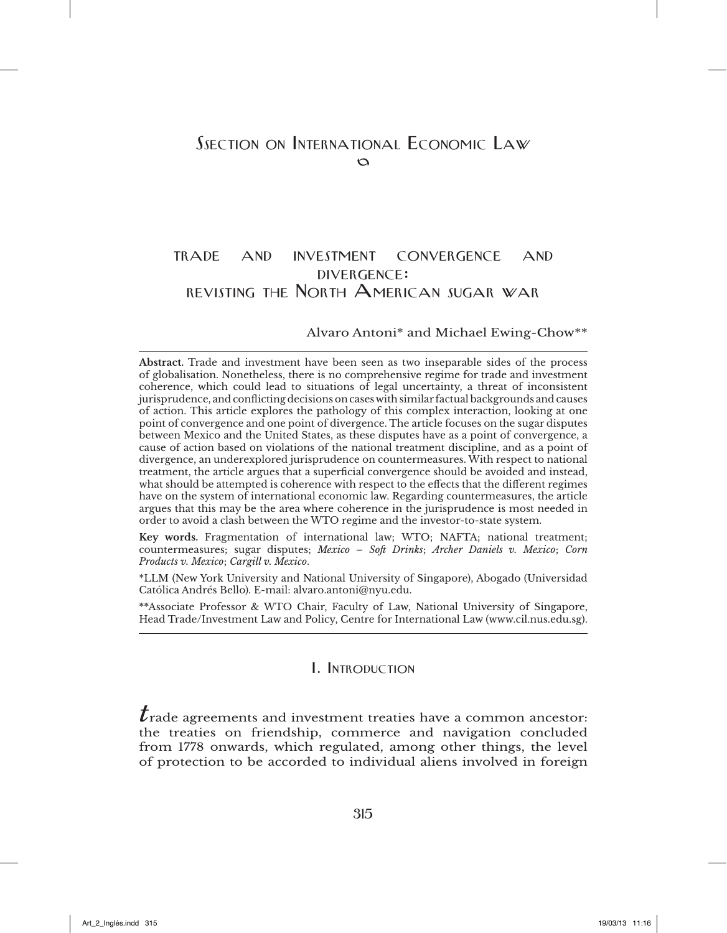# trade and investment convergence and divergence: revisting the North American sugar war

#### Alvaro Antoni\* and Michael Ewing-Chow\*\*

**Abstract.** Trade and investment have been seen as two inseparable sides of the process of globalisation. Nonetheless, there is no comprehensive regime for trade and investment coherence, which could lead to situations of legal uncertainty, a threat of inconsistent jurisprudence, and conflicting decisions on cases with similar factual backgrounds and causes of action. This article explores the pathology of this complex interaction, looking at one point of convergence and one point of divergence. The article focuses on the sugar disputes between Mexico and the United States, as these disputes have as a point of convergence, a cause of action based on violations of the national treatment discipline, and as a point of divergence, an underexplored jurisprudence on countermeasures. With respect to national treatment, the article argues that a superficial convergence should be avoided and instead, what should be attempted is coherence with respect to the effects that the different regimes have on the system of international economic law. Regarding countermeasures, the article argues that this may be the area where coherence in the jurisprudence is most needed in order to avoid a clash between the WTO regime and the investor-to-state system.

**Key words.** Fragmentation of international law; WTO; NAFTA; national treatment; countermeasures; sugar disputes; *Mexico – Soft Drinks*; *Archer Daniels v. Mexico*; *Corn Products v. Mexico*; *Cargill v. Mexico*.

\*LLM (New York University and National University of Singapore), Abogado (Universidad Católica Andrés Bello). E-mail: alvaro.antoni@nyu.edu.

\*\*Associate Professor & WTO Chair, Faculty of Law, National University of Singapore, Head Trade/Investment Law and Policy, Centre for International Law (www.cil.nus.edu.sg).

### I. Introduction

 $\boldsymbol{t}$ rade agreements and investment treaties have a common ancestor: the treaties on friendship, commerce and navigation concluded from 1778 onwards, which regulated, among other things, the level of protection to be accorded to individual aliens involved in foreign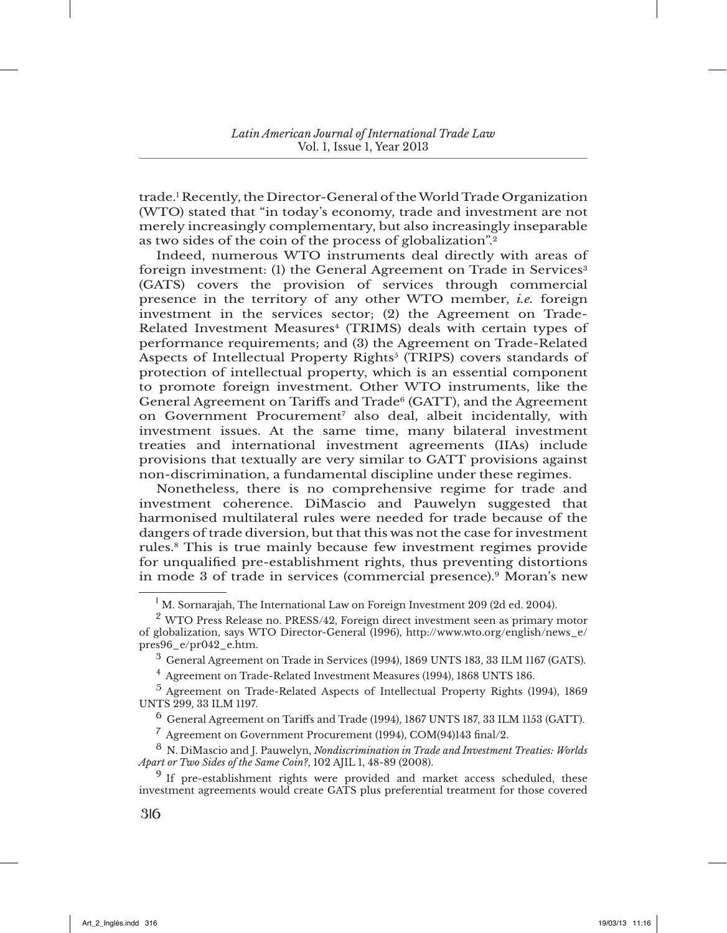trade.1 Recently, the Director-General of the World Trade Organization (WTO) stated that "in today's economy, trade and investment are not merely increasingly complementary, but also increasingly inseparable as two sides of the coin of the process of globalization".<sup>2</sup>

Indeed, numerous WTO instruments deal directly with areas of foreign investment: (1) the General Agreement on Trade in Services<sup>3</sup> (GATS) covers the provision of services through commercial presence in the territory of any other WTO member, *i.e.* foreign investment in the services sector; (2) the Agreement on Trade-Related Investment Measures4 (TRIMS) deals with certain types of performance requirements; and (3) the Agreement on Trade-Related Aspects of Intellectual Property Rights<sup>5</sup> (TRIPS) covers standards of protection of intellectual property, which is an essential component to promote foreign investment. Other WTO instruments, like the General Agreement on Tariffs and Trade<sup>6</sup> (GATT), and the Agreement on Government Procurement<sup>7</sup> also deal, albeit incidentally, with investment issues. At the same time, many bilateral investment treaties and international investment agreements (IIAs) include provisions that textually are very similar to GATT provisions against non-discrimination, a fundamental discipline under these regimes.

Nonetheless, there is no comprehensive regime for trade and investment coherence. DiMascio and Pauwelyn suggested that harmonised multilateral rules were needed for trade because of the dangers of trade diversion, but that this was not the case for investment rules.8 This is true mainly because few investment regimes provide for unqualified pre-establishment rights, thus preventing distortions in mode 3 of trade in services (commercial presence).9 Moran's new

<sup>1</sup> M. Sornarajah, The International Law on Foreign Investment 209 (2d ed. 2004).

<sup>&</sup>lt;sup>2</sup> WTO Press Release no. PRESS/42, Foreign direct investment seen as primary motor of globalization, says WTO Director-General (1996), http://www.wto.org/english/news\_e/ pres96\_e/pr042\_e.htm.

 $3$  General Agreement on Trade in Services (1994), 1869 UNTS 183, 33 ILM 1167 (GATS).

<sup>4</sup> Agreement on Trade-Related Investment Measures (1994), 1868 UNTS 186.

<sup>5</sup> Agreement on Trade-Related Aspects of Intellectual Property Rights (1994), 1869 UNTS 299, 33 ILM 1197.

 $^6$  General Agreement on Tariffs and Trade (1994), 1867 UNTS 187, 33 ILM 1153 (GATT).

 $^7$  Agreement on Government Procurement (1994), COM(94)143 final/2.

<sup>8</sup> N. DiMascio and J. Pauwelyn, *Nondiscrimination in Trade and Investment Treaties: Worlds Apart or Two Sides of the Same Coin?*, 102 AJIL 1, 48-89 (2008).

<sup>&</sup>lt;sup>9</sup> If pre-establishment rights were provided and market access scheduled, these investment agreements would create GATS plus preferential treatment for those covered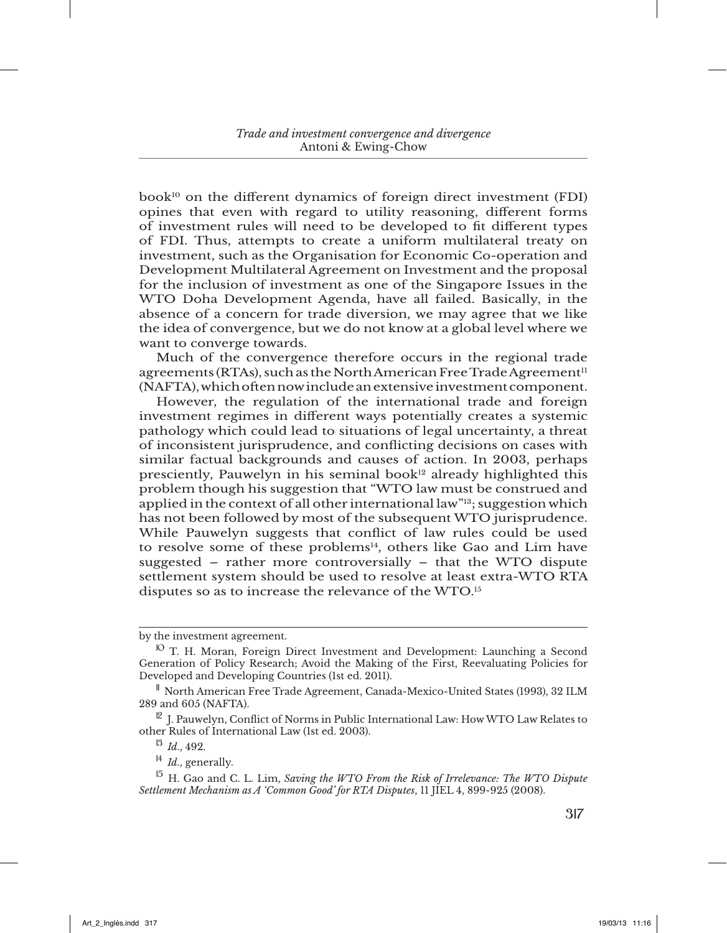book10 on the different dynamics of foreign direct investment (FDI) opines that even with regard to utility reasoning, different forms of investment rules will need to be developed to fit different types of FDI. Thus, attempts to create a uniform multilateral treaty on investment, such as the Organisation for Economic Co-operation and Development Multilateral Agreement on Investment and the proposal for the inclusion of investment as one of the Singapore Issues in the WTO Doha Development Agenda, have all failed. Basically, in the absence of a concern for trade diversion, we may agree that we like the idea of convergence, but we do not know at a global level where we want to converge towards.

Much of the convergence therefore occurs in the regional trade agreements (RTAs), such as the North American Free Trade Agreement<sup>11</sup> (NAFTA), which often now include an extensive investment component.

However, the regulation of the international trade and foreign investment regimes in different ways potentially creates a systemic pathology which could lead to situations of legal uncertainty, a threat of inconsistent jurisprudence, and conflicting decisions on cases with similar factual backgrounds and causes of action. In 2003, perhaps presciently, Pauwelyn in his seminal book<sup>12</sup> already highlighted this problem though his suggestion that "WTO law must be construed and applied in the context of all other international law"<sup>13</sup>; suggestion which has not been followed by most of the subsequent WTO jurisprudence. While Pauwelyn suggests that conflict of law rules could be used to resolve some of these problems<sup>14</sup>, others like Gao and Lim have suggested – rather more controversially – that the WTO dispute settlement system should be used to resolve at least extra-WTO RTA disputes so as to increase the relevance of the WTO.15

by the investment agreement.

<sup>10</sup> T. H. Moran, Foreign Direct Investment and Development: Launching a Second Generation of Policy Research; Avoid the Making of the First, Reevaluating Policies for Developed and Developing Countries (1st ed. 2011).

<sup>11</sup> North American Free Trade Agreement, Canada-Mexico-United States (1993), 32 ILM 289 and 605 (NAFTA).

 $12$  J. Pauwelyn, Conflict of Norms in Public International Law: How WTO Law Relates to other Rules of International Law (1st ed. 2003).

<sup>13</sup> *Id*., 492.

<sup>14</sup> *Id*., generally.

<sup>&</sup>lt;sup>15</sup> H. Gao and C. L. Lim, *Saving the WTO From the Risk of Irrelevance: The WTO Dispute Settlement Mechanism as A 'Common Good' for RTA Disputes*, 11 JIEL 4, 899-925 (2008).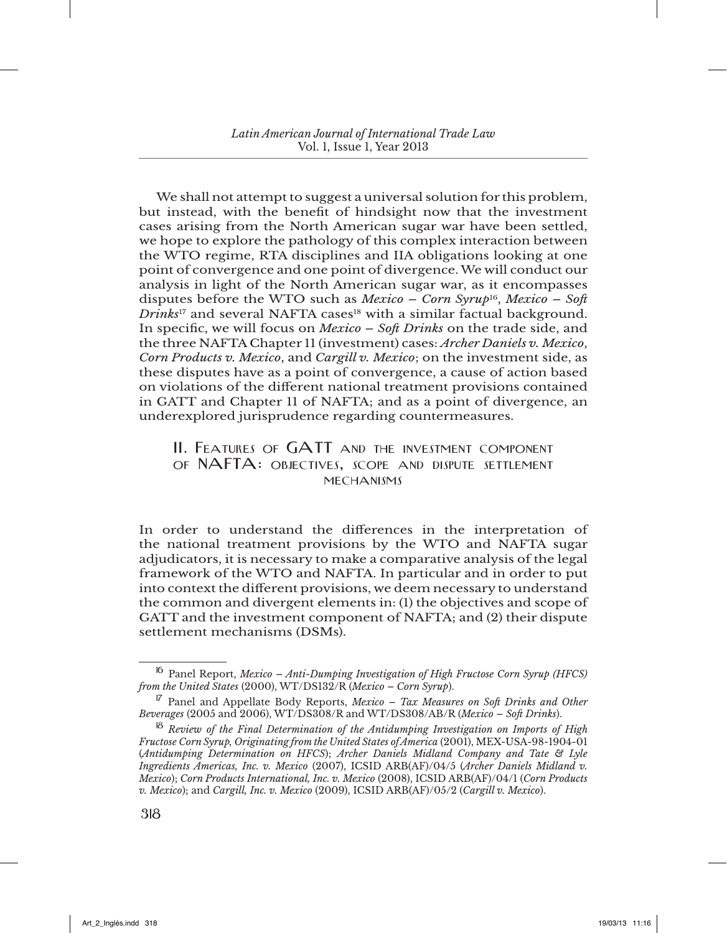We shall not attempt to suggest a universal solution for this problem, but instead, with the benefit of hindsight now that the investment cases arising from the North American sugar war have been settled, we hope to explore the pathology of this complex interaction between the WTO regime, RTA disciplines and IIA obligations looking at one point of convergence and one point of divergence. We will conduct our analysis in light of the North American sugar war, as it encompasses disputes before the WTO such as *Mexico – Corn Syrup*16, *Mexico – Soft Drinks*17 and several NAFTA cases18 with a similar factual background. In specific, we will focus on *Mexico – Soft Drinks* on the trade side, and the three NAFTA Chapter 11 (investment) cases: *Archer Daniels v. Mexico*, *Corn Products v. Mexico*, and *Cargill v. Mexico*; on the investment side, as these disputes have as a point of convergence, a cause of action based on violations of the different national treatment provisions contained in GATT and Chapter 11 of NAFTA; and as a point of divergence, an underexplored jurisprudence regarding countermeasures.

## II. FEATURES OF GATT AND THE INVESTMENT COMPONENT of nafta: objectives, scope and dispute settlement MECHANISMS

In order to understand the differences in the interpretation of the national treatment provisions by the WTO and NAFTA sugar adjudicators, it is necessary to make a comparative analysis of the legal framework of the WTO and NAFTA. In particular and in order to put into context the different provisions, we deem necessary to understand the common and divergent elements in: (1) the objectives and scope of GATT and the investment component of NAFTA; and (2) their dispute settlement mechanisms (DSMs).

<sup>16</sup> Panel Report, *Mexico – Anti-Dumping Investigation of High Fructose Corn Syrup (HFCS) from the United States* (2000), WT/DS132/R (*Mexico – Corn Syrup*).

<sup>17</sup> Panel and Appellate Body Reports, *Mexico – Tax Measures on Soft Drinks and Other Beverages* (2005 and 2006), WT/DS308/R and WT/DS308/AB/R (*Mexico – Soft Drinks*).

<sup>18</sup> *Review of the Final Determination of the Antidumping Investigation on Imports of High Fructose Corn Syrup, Originating from the United States of America* (2001), MEX-USA-98-1904-01 (*Antidumping Determination on HFCS*); *Archer Daniels Midland Company and Tate & Lyle Ingredients Americas, Inc. v. Mexico* (2007), ICSID ARB(AF)/04/5 (*Archer Daniels Midland v. Mexico*); *Corn Products International, Inc. v. Mexico* (2008), ICSID ARB(AF)/04/1 (*Corn Products v. Mexico*); and *Cargill, Inc. v. Mexico* (2009), ICSID ARB(AF)/05/2 (*Cargill v. Mexico*).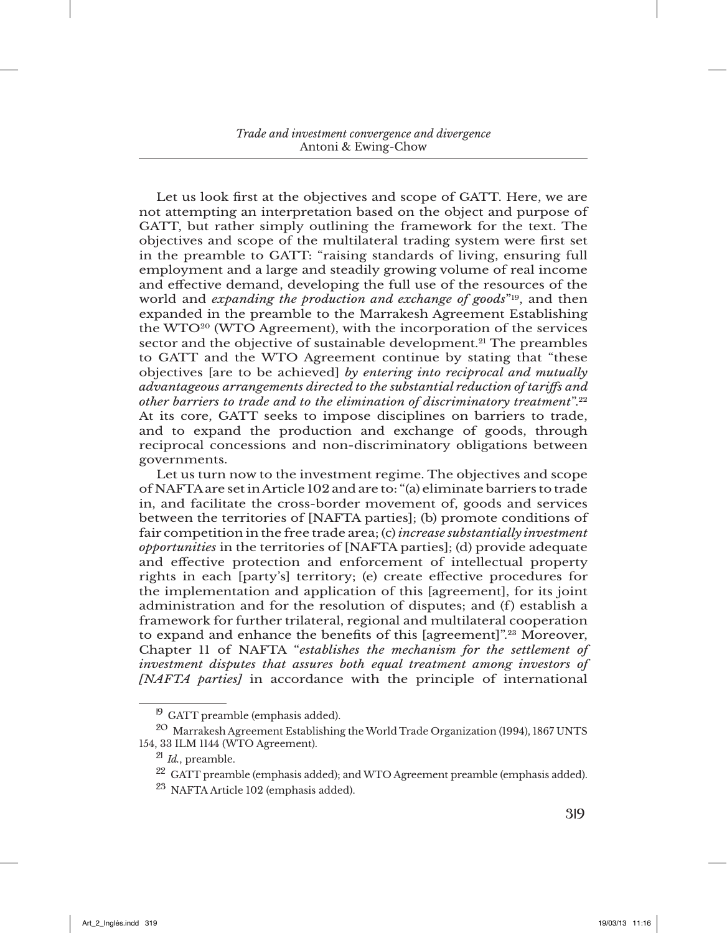Let us look first at the objectives and scope of GATT. Here, we are not attempting an interpretation based on the object and purpose of GATT, but rather simply outlining the framework for the text. The objectives and scope of the multilateral trading system were first set in the preamble to GATT: "raising standards of living, ensuring full employment and a large and steadily growing volume of real income and effective demand, developing the full use of the resources of the world and *expanding the production and exchange of goods*"19, and then expanded in the preamble to the Marrakesh Agreement Establishing the WTO20 (WTO Agreement), with the incorporation of the services sector and the objective of sustainable development.<sup>21</sup> The preambles to GATT and the WTO Agreement continue by stating that "these objectives [are to be achieved] *by entering into reciprocal and mutually advantageous arrangements directed to the substantial reduction of tariffs and other barriers to trade and to the elimination of discriminatory treatment*".22 At its core, GATT seeks to impose disciplines on barriers to trade, and to expand the production and exchange of goods, through reciprocal concessions and non-discriminatory obligations between governments.

Let us turn now to the investment regime. The objectives and scope of NAFTA are set in Article 102 and are to: "(a) eliminate barriers to trade in, and facilitate the cross-border movement of, goods and services between the territories of [NAFTA parties]; (b) promote conditions of fair competition in the free trade area; (c) *increase substantially investment opportunities* in the territories of [NAFTA parties]; (d) provide adequate and effective protection and enforcement of intellectual property rights in each [party's] territory; (e) create effective procedures for the implementation and application of this [agreement], for its joint administration and for the resolution of disputes; and (f) establish a framework for further trilateral, regional and multilateral cooperation to expand and enhance the benefits of this [agreement]".23 Moreover, Chapter 11 of NAFTA "*establishes the mechanism for the settlement of investment disputes that assures both equal treatment among investors of [NAFTA parties]* in accordance with the principle of international

<sup>&</sup>lt;sup>19</sup> GATT preamble (emphasis added).

<sup>&</sup>lt;sup>20</sup> Marrakesh Agreement Establishing the World Trade Organization (1994), 1867 UNTS 154, 33 ILM 1144 (WTO Agreement).

<sup>21</sup> *Id.*, preamble.

<sup>&</sup>lt;sup>22</sup> GATT preamble (emphasis added); and WTO Agreement preamble (emphasis added).

<sup>23</sup> NAFTA Article 102 (emphasis added).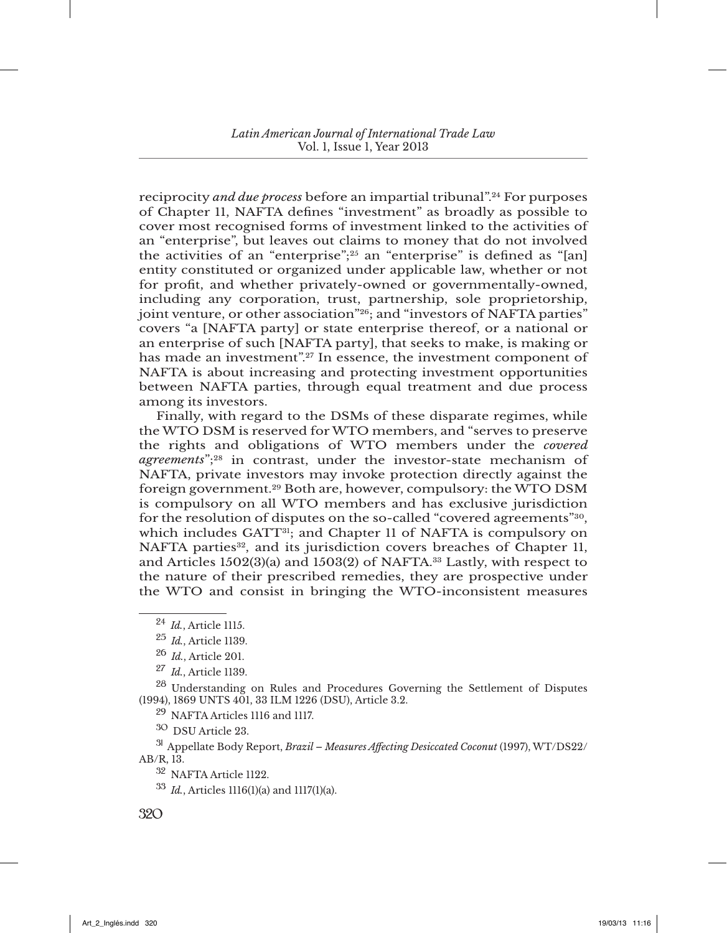reciprocity *and due process* before an impartial tribunal".24 For purposes of Chapter 11, NAFTA defines "investment" as broadly as possible to cover most recognised forms of investment linked to the activities of an "enterprise", but leaves out claims to money that do not involved the activities of an "enterprise";25 an "enterprise" is defined as "[an] entity constituted or organized under applicable law, whether or not for profit, and whether privately-owned or governmentally-owned, including any corporation, trust, partnership, sole proprietorship, joint venture, or other association"26; and "investors of NAFTA parties" covers "a [NAFTA party] or state enterprise thereof, or a national or an enterprise of such [NAFTA party], that seeks to make, is making or has made an investment".<sup>27</sup> In essence, the investment component of NAFTA is about increasing and protecting investment opportunities between NAFTA parties, through equal treatment and due process among its investors.

Finally, with regard to the DSMs of these disparate regimes, while the WTO DSM is reserved for WTO members, and "serves to preserve the rights and obligations of WTO members under the *covered agreements*";28 in contrast, under the investor-state mechanism of NAFTA, private investors may invoke protection directly against the foreign government.29 Both are, however, compulsory: the WTO DSM is compulsory on all WTO members and has exclusive jurisdiction for the resolution of disputes on the so-called "covered agreements"30, which includes GATT<sup>31</sup>; and Chapter 11 of NAFTA is compulsory on NAFTA parties<sup>32</sup>, and its jurisdiction covers breaches of Chapter 11, and Articles  $1502(3)(a)$  and  $1503(2)$  of NAFTA.<sup>33</sup> Lastly, with respect to the nature of their prescribed remedies, they are prospective under the WTO and consist in bringing the WTO-inconsistent measures

<sup>28</sup> Understanding on Rules and Procedures Governing the Settlement of Disputes (1994), 1869 UNTS 401, 33 ILM 1226 (DSU), Article 3.2.

<sup>29</sup> NAFTA Articles 1116 and 1117.

<sup>30</sup> DSU Article 23.

<sup>31</sup> Appellate Body Report, *Brazil – Measures Affecting Desiccated Coconut* (1997), WT/DS22/ AB/R, 13.

<sup>32</sup> NAFTA Article 1122.

<sup>33</sup> *Id.*, Articles 1116(1)(a) and 1117(1)(a).

<sup>24</sup> *Id.*, Article 1115.

<sup>25</sup> *Id.*, Article 1139.

<sup>26</sup> *Id.*, Article 201.

<sup>27</sup> *Id.*, Article 1139.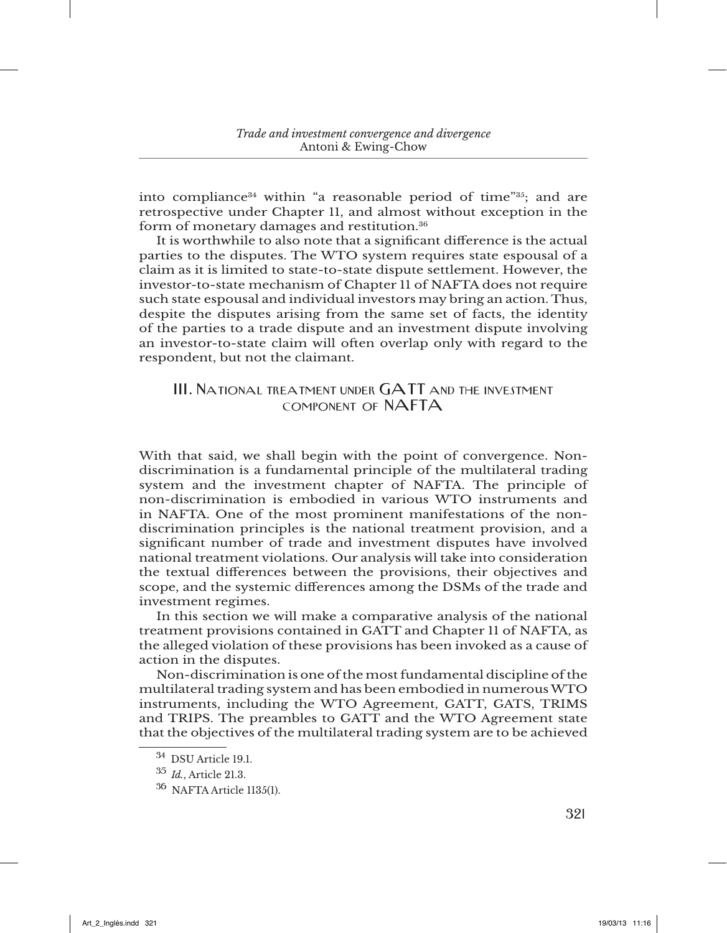into compliance<sup>34</sup> within "a reasonable period of time"<sup>35</sup>; and are retrospective under Chapter 11, and almost without exception in the form of monetary damages and restitution.36

It is worthwhile to also note that a significant difference is the actual parties to the disputes. The WTO system requires state espousal of a claim as it is limited to state-to-state dispute settlement. However, the investor-to-state mechanism of Chapter 11 of NAFTA does not require such state espousal and individual investors may bring an action. Thus, despite the disputes arising from the same set of facts, the identity of the parties to a trade dispute and an investment dispute involving an investor-to-state claim will often overlap only with regard to the respondent, but not the claimant.

## III. NATIONAL TREATMENT UNDER GATT AND THE INVESTMENT component of nafta

With that said, we shall begin with the point of convergence. Nondiscrimination is a fundamental principle of the multilateral trading system and the investment chapter of NAFTA. The principle of non-discrimination is embodied in various WTO instruments and in NAFTA. One of the most prominent manifestations of the nondiscrimination principles is the national treatment provision, and a significant number of trade and investment disputes have involved national treatment violations. Our analysis will take into consideration the textual differences between the provisions, their objectives and scope, and the systemic differences among the DSMs of the trade and investment regimes.

In this section we will make a comparative analysis of the national treatment provisions contained in GATT and Chapter 11 of NAFTA, as the alleged violation of these provisions has been invoked as a cause of action in the disputes.

Non-discrimination is one of the most fundamental discipline of the multilateral trading system and has been embodied in numerous WTO instruments, including the WTO Agreement, GATT, GATS, TRIMS and TRIPS. The preambles to GATT and the WTO Agreement state that the objectives of the multilateral trading system are to be achieved

<sup>34</sup> DSU Article 19.1.

<sup>35</sup> *Id.*, Article 21.3.

<sup>36</sup> NAFTA Article 1135(1).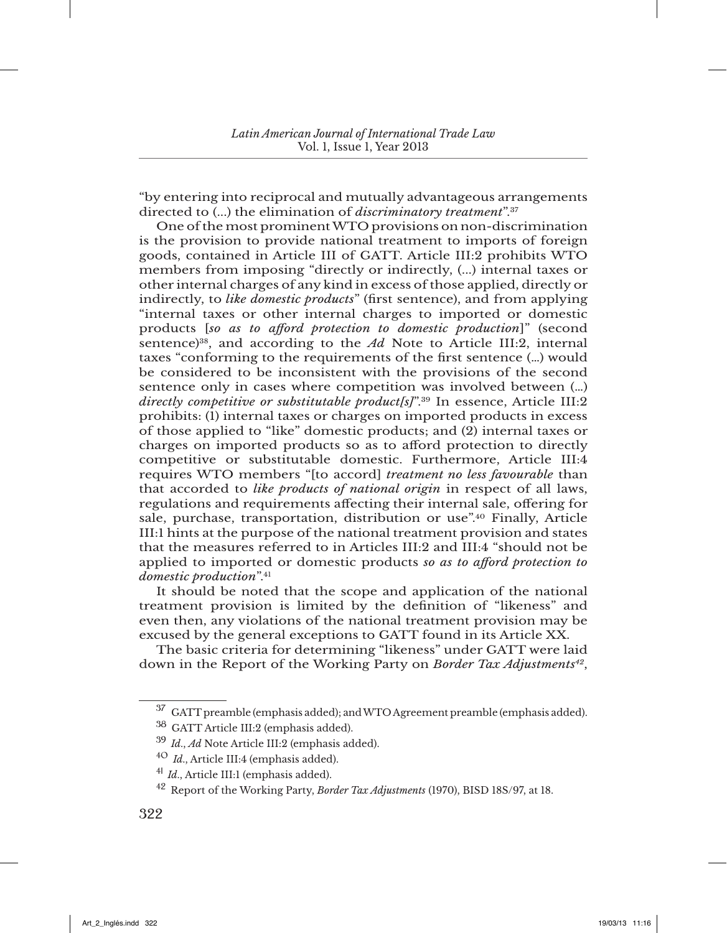"by entering into reciprocal and mutually advantageous arrangements directed to (...) the elimination of *discriminatory treatment*".37

One of the most prominent WTO provisions on non-discrimination is the provision to provide national treatment to imports of foreign goods, contained in Article III of GATT. Article III:2 prohibits WTO members from imposing "directly or indirectly, (...) internal taxes or other internal charges of any kind in excess of those applied, directly or indirectly, to *like domestic products*" (first sentence), and from applying "internal taxes or other internal charges to imported or domestic products [*so as to afford protection to domestic production*]" (second sentence)<sup>38</sup>, and according to the  $Ad$  Note to Article III:2, internal taxes "conforming to the requirements of the first sentence (…) would be considered to be inconsistent with the provisions of the second sentence only in cases where competition was involved between (…) *directly competitive or substitutable product[s]*".39 In essence, Article III:2 prohibits: (1) internal taxes or charges on imported products in excess of those applied to "like" domestic products; and (2) internal taxes or charges on imported products so as to afford protection to directly competitive or substitutable domestic. Furthermore, Article III:4 requires WTO members "[to accord] *treatment no less favourable* than that accorded to *like products of national origin* in respect of all laws, regulations and requirements affecting their internal sale, offering for sale, purchase, transportation, distribution or use".40 Finally, Article III:1 hints at the purpose of the national treatment provision and states that the measures referred to in Articles III:2 and III:4 "should not be applied to imported or domestic products *so as to afford protection to domestic production*".41

It should be noted that the scope and application of the national treatment provision is limited by the definition of "likeness" and even then, any violations of the national treatment provision may be excused by the general exceptions to GATT found in its Article XX.

The basic criteria for determining "likeness" under GATT were laid down in the Report of the Working Party on *Border Tax Adjustments42*,

<sup>&</sup>lt;sup>37</sup> GATT preamble (emphasis added); and WTO Agreement preamble (emphasis added).

<sup>38</sup> GATT Article III:2 (emphasis added).

<sup>39</sup> *Id*., *Ad* Note Article III:2 (emphasis added).

<sup>40</sup> *Id*., Article III:4 (emphasis added).

<sup>41</sup> *Id*., Article III:1 (emphasis added).

<sup>42</sup> Report of the Working Party, *Border Tax Adjustments* (1970), BISD 18S/97, at 18.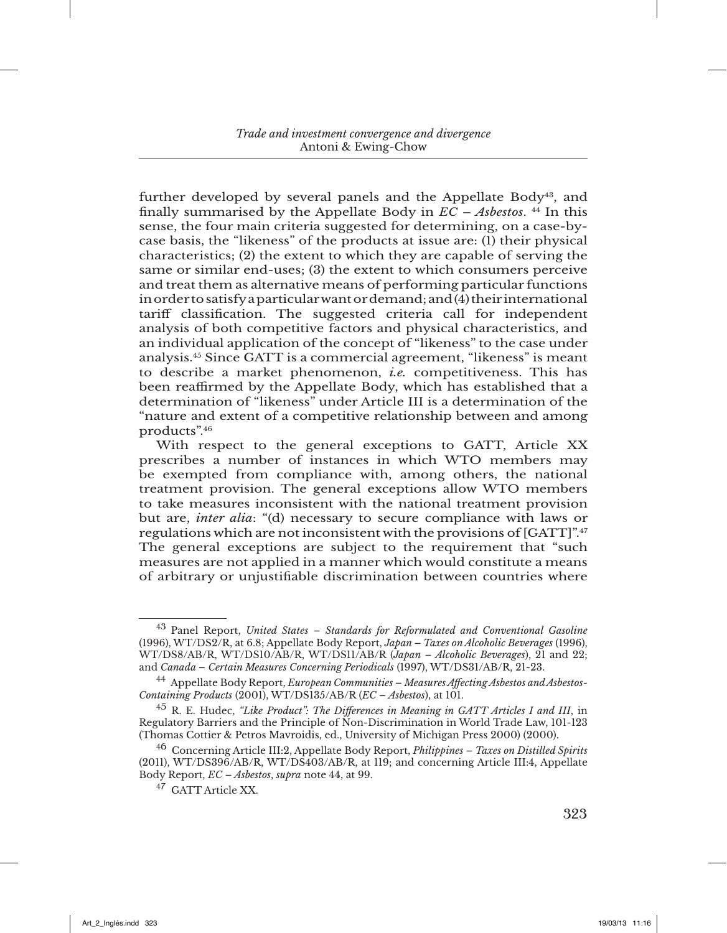further developed by several panels and the Appellate Body43, and finally summarised by the Appellate Body in  $\overline{EC}$  – Asbestos.<sup>44</sup> In this sense, the four main criteria suggested for determining, on a case-bycase basis, the "likeness" of the products at issue are: (1) their physical characteristics; (2) the extent to which they are capable of serving the same or similar end-uses; (3) the extent to which consumers perceive and treat them as alternative means of performing particular functions in order to satisfy a particular want or demand; and (4) their international tariff classification. The suggested criteria call for independent analysis of both competitive factors and physical characteristics, and an individual application of the concept of "likeness" to the case under analysis.45 Since GATT is a commercial agreement, "likeness" is meant to describe a market phenomenon, *i.e.* competitiveness. This has been reaffirmed by the Appellate Body, which has established that a determination of "likeness" under Article III is a determination of the "nature and extent of a competitive relationship between and among products".46

With respect to the general exceptions to GATT, Article XX prescribes a number of instances in which WTO members may be exempted from compliance with, among others, the national treatment provision. The general exceptions allow WTO members to take measures inconsistent with the national treatment provision but are, *inter alia*: "(d) necessary to secure compliance with laws or regulations which are not inconsistent with the provisions of  $[GATT]^{n,q}$ The general exceptions are subject to the requirement that "such measures are not applied in a manner which would constitute a means of arbitrary or unjustifiable discrimination between countries where

<sup>43</sup> Panel Report, *United States – Standards for Reformulated and Conventional Gasoline* (1996), WT/DS2/R, at 6.8; Appellate Body Report, *Japan – Taxes on Alcoholic Beverages* (1996), WT/DS8/AB/R, WT/DS10/AB/R, WT/DS11/AB/R (*Japan – Alcoholic Beverages*), 21 and 22; and *Canada – Certain Measures Concerning Periodicals* (1997), WT/DS31/AB/R, 21-23.

<sup>44</sup> Appellate Body Report, *European Communities – Measures Affecting Asbestos and Asbestos-Containing Products* (2001), WT/DS135/AB/R ( $EC - Absestos$ ), at 101.

<sup>45</sup> R. E. Hudec, *"Like Product": The Differences in Meaning in GATT Articles I and III*, in Regulatory Barriers and the Principle of Non-Discrimination in World Trade Law, 101-123 (Thomas Cottier & Petros Mavroidis, ed., University of Michigan Press 2000) (2000).

<sup>46</sup> Concerning Article III:2, Appellate Body Report, *Philippines – Taxes on Distilled Spirits* (2011), WT/DS396/AB/R, WT/DS403/AB/R, at 119; and concerning Article III:4, Appellate Body Report, *EC – Asbestos*, *supra* note 44, at 99.

<sup>47</sup> GATT Article XX.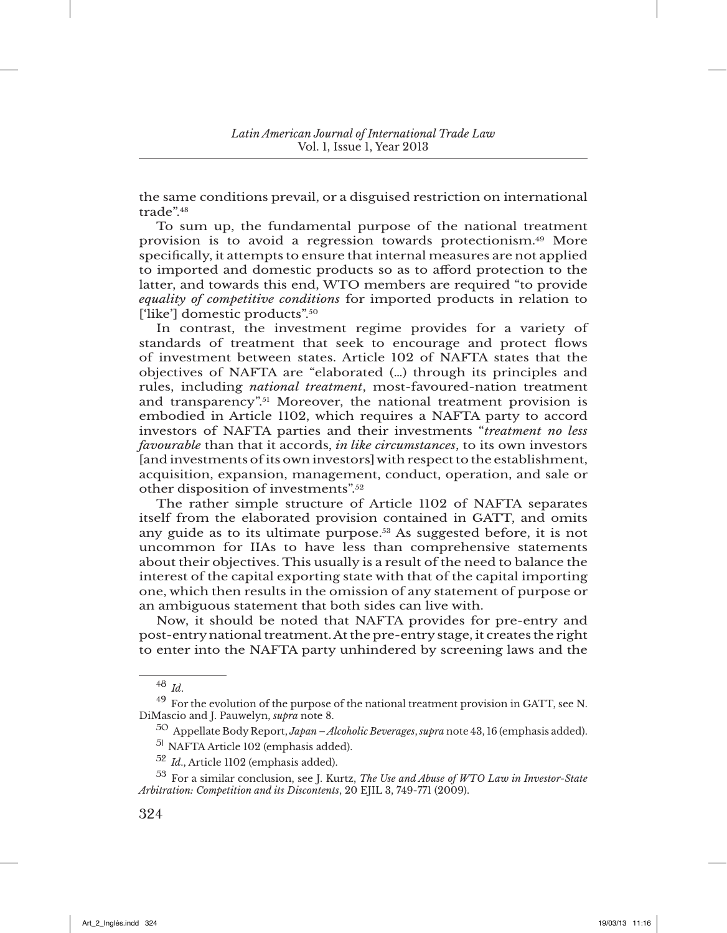the same conditions prevail, or a disguised restriction on international trade".48

To sum up, the fundamental purpose of the national treatment provision is to avoid a regression towards protectionism.49 More specifically, it attempts to ensure that internal measures are not applied to imported and domestic products so as to afford protection to the latter, and towards this end, WTO members are required "to provide *equality of competitive conditions* for imported products in relation to ['like'] domestic products".50

In contrast, the investment regime provides for a variety of standards of treatment that seek to encourage and protect flows of investment between states. Article 102 of NAFTA states that the objectives of NAFTA are "elaborated (…) through its principles and rules, including *national treatment*, most-favoured-nation treatment and transparency".51 Moreover, the national treatment provision is embodied in Article 1102, which requires a NAFTA party to accord investors of NAFTA parties and their investments "*treatment no less favourable* than that it accords, *in like circumstances*, to its own investors [and investments of its own investors] with respect to the establishment, acquisition, expansion, management, conduct, operation, and sale or other disposition of investments".52

The rather simple structure of Article 1102 of NAFTA separates itself from the elaborated provision contained in GATT, and omits any guide as to its ultimate purpose.<sup>53</sup> As suggested before, it is not uncommon for IIAs to have less than comprehensive statements about their objectives. This usually is a result of the need to balance the interest of the capital exporting state with that of the capital importing one, which then results in the omission of any statement of purpose or an ambiguous statement that both sides can live with.

Now, it should be noted that NAFTA provides for pre-entry and post-entry national treatment. At the pre-entry stage, it creates the right to enter into the NAFTA party unhindered by screening laws and the

<sup>48</sup> *Id*.

<sup>49</sup> For the evolution of the purpose of the national treatment provision in GATT, see N. DiMascio and J. Pauwelyn, *supra* note 8.

<sup>50</sup> Appellate Body Report, *Japan – Alcoholic Beverages*, *supra* note 43, 16 (emphasis added).

<sup>51</sup> NAFTA Article 102 (emphasis added).

<sup>52</sup> *Id*., Article 1102 (emphasis added).

<sup>53</sup> For a similar conclusion, see J. Kurtz, *The Use and Abuse of WTO Law in Investor-State Arbitration: Competition and its Discontents*, 20 EJIL 3, 749-771 (2009).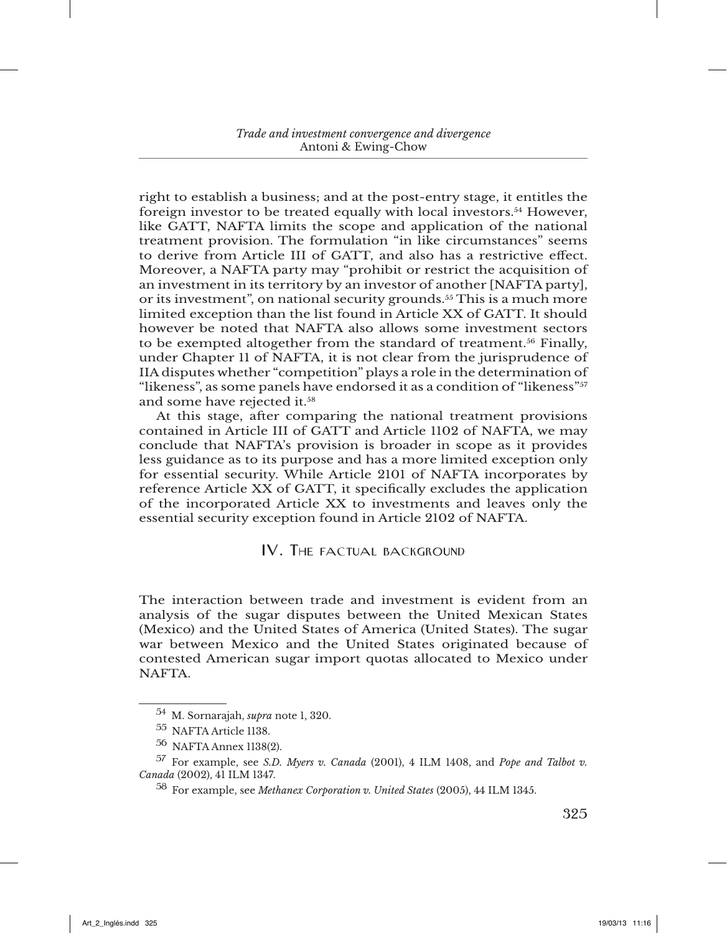right to establish a business; and at the post-entry stage, it entitles the foreign investor to be treated equally with local investors.54 However, like GATT, NAFTA limits the scope and application of the national treatment provision. The formulation "in like circumstances" seems to derive from Article III of GATT, and also has a restrictive effect. Moreover, a NAFTA party may "prohibit or restrict the acquisition of an investment in its territory by an investor of another [NAFTA party], or its investment", on national security grounds.55 This is a much more limited exception than the list found in Article XX of GATT. It should however be noted that NAFTA also allows some investment sectors to be exempted altogether from the standard of treatment.<sup>56</sup> Finally, under Chapter 11 of NAFTA, it is not clear from the jurisprudence of IIA disputes whether "competition" plays a role in the determination of "likeness", as some panels have endorsed it as a condition of "likeness"57 and some have rejected it.<sup>58</sup>

At this stage, after comparing the national treatment provisions contained in Article III of GATT and Article 1102 of NAFTA, we may conclude that NAFTA's provision is broader in scope as it provides less guidance as to its purpose and has a more limited exception only for essential security. While Article 2101 of NAFTA incorporates by reference Article XX of GATT, it specifically excludes the application of the incorporated Article XX to investments and leaves only the essential security exception found in Article 2102 of NAFTA.

## IV. The factual background

The interaction between trade and investment is evident from an analysis of the sugar disputes between the United Mexican States (Mexico) and the United States of America (United States). The sugar war between Mexico and the United States originated because of contested American sugar import quotas allocated to Mexico under **NAFTA** 

<sup>54</sup> M. Sornarajah, *supra* note 1, 320.

<sup>55</sup> NAFTA Article 1138.

<sup>56</sup> NAFTA Annex 1138(2).

<sup>57</sup> For example, see *S.D. Myers v. Canada* (2001), 4 ILM 1408, and *Pope and Talbot v. Canada* (2002), 41 ILM 1347.

<sup>58</sup> For example, see *Methanex Corporation v. United States* (2005), 44 ILM 1345.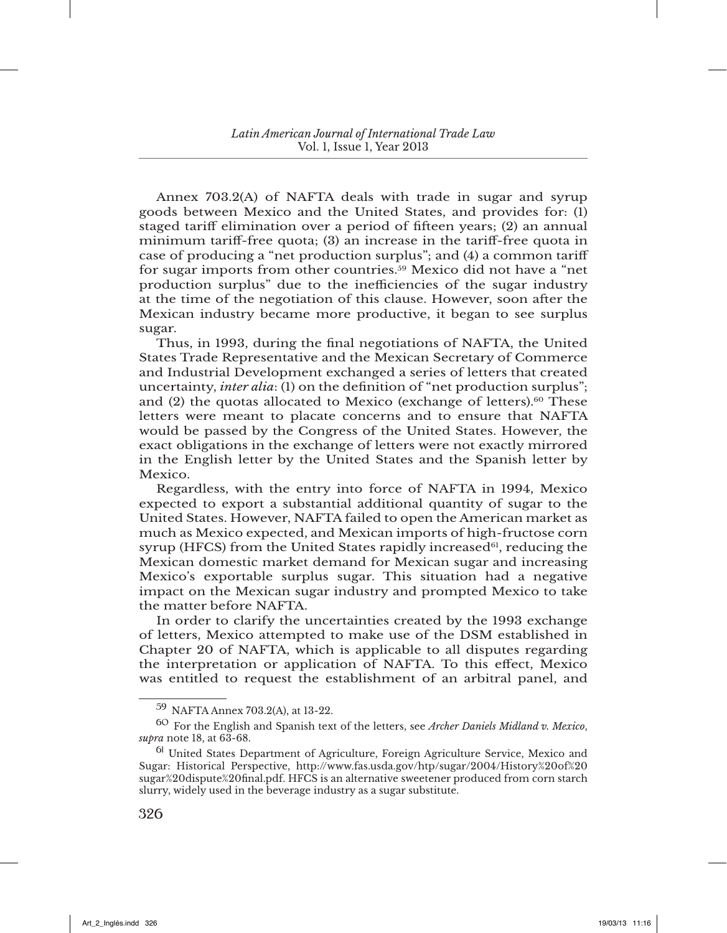Annex 703.2(A) of NAFTA deals with trade in sugar and syrup goods between Mexico and the United States, and provides for: (1) staged tariff elimination over a period of fifteen years; (2) an annual minimum tariff-free quota; (3) an increase in the tariff-free quota in case of producing a "net production surplus"; and (4) a common tariff for sugar imports from other countries.59 Mexico did not have a "net production surplus" due to the inefficiencies of the sugar industry at the time of the negotiation of this clause. However, soon after the Mexican industry became more productive, it began to see surplus sugar.

Thus, in 1993, during the final negotiations of NAFTA, the United States Trade Representative and the Mexican Secretary of Commerce and Industrial Development exchanged a series of letters that created uncertainty, *inter alia*: (1) on the definition of "net production surplus"; and  $(2)$  the quotas allocated to Mexico (exchange of letters).<sup>60</sup> These letters were meant to placate concerns and to ensure that NAFTA would be passed by the Congress of the United States. However, the exact obligations in the exchange of letters were not exactly mirrored in the English letter by the United States and the Spanish letter by Mexico.

Regardless, with the entry into force of NAFTA in 1994, Mexico expected to export a substantial additional quantity of sugar to the United States. However, NAFTA failed to open the American market as much as Mexico expected, and Mexican imports of high-fructose corn syrup (HFCS) from the United States rapidly increased $61$ , reducing the Mexican domestic market demand for Mexican sugar and increasing Mexico's exportable surplus sugar. This situation had a negative impact on the Mexican sugar industry and prompted Mexico to take the matter before NAFTA.

In order to clarify the uncertainties created by the 1993 exchange of letters, Mexico attempted to make use of the DSM established in Chapter 20 of NAFTA, which is applicable to all disputes regarding the interpretation or application of NAFTA. To this effect, Mexico was entitled to request the establishment of an arbitral panel, and

<sup>59</sup> NAFTA Annex 703.2(A), at 13-22.

<sup>60</sup> For the English and Spanish text of the letters, see *Archer Daniels Midland v. Mexico*, *supra* note 18, at 63-68.

<sup>61</sup> United States Department of Agriculture, Foreign Agriculture Service, Mexico and Sugar: Historical Perspective, http://www.fas.usda.gov/htp/sugar/2004/History%20of%20 sugar%20dispute%20final.pdf. HFCS is an alternative sweetener produced from corn starch slurry, widely used in the beverage industry as a sugar substitute.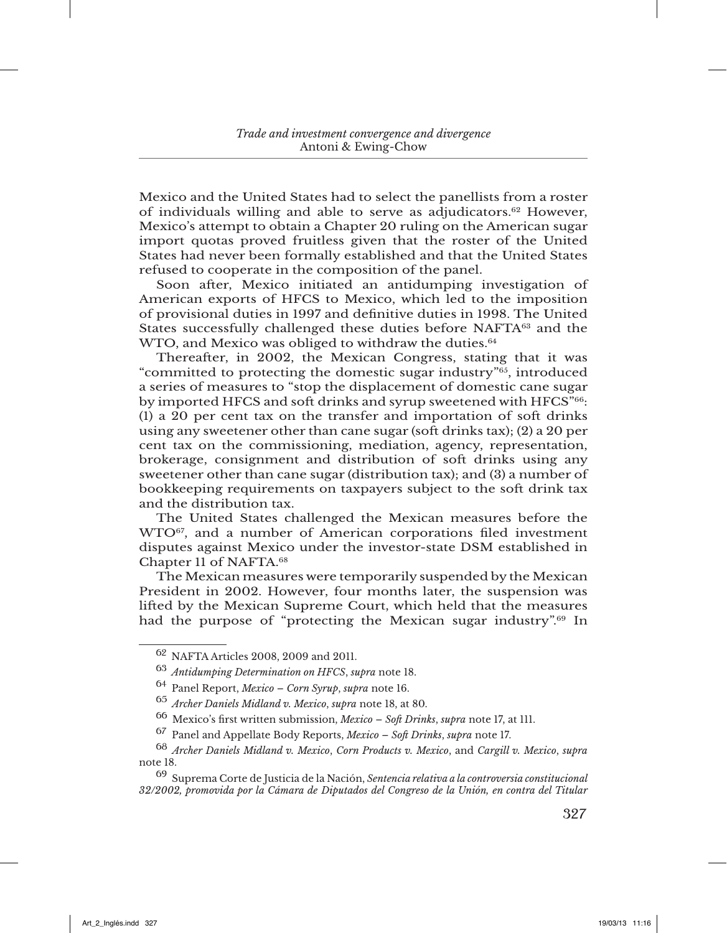Mexico and the United States had to select the panellists from a roster of individuals willing and able to serve as adjudicators.62 However, Mexico's attempt to obtain a Chapter 20 ruling on the American sugar import quotas proved fruitless given that the roster of the United States had never been formally established and that the United States refused to cooperate in the composition of the panel.

Soon after, Mexico initiated an antidumping investigation of American exports of HFCS to Mexico, which led to the imposition of provisional duties in 1997 and definitive duties in 1998. The United States successfully challenged these duties before NAFTA<sup>63</sup> and the WTO, and Mexico was obliged to withdraw the duties.<sup>64</sup>

Thereafter, in 2002, the Mexican Congress, stating that it was "committed to protecting the domestic sugar industry"65, introduced a series of measures to "stop the displacement of domestic cane sugar by imported HFCS and soft drinks and syrup sweetened with HFCS"66:  $(1)$  a 20 per cent tax on the transfer and importation of soft drinks using any sweetener other than cane sugar (soft drinks tax); (2) a 20 per cent tax on the commissioning, mediation, agency, representation, brokerage, consignment and distribution of soft drinks using any sweetener other than cane sugar (distribution tax); and (3) a number of bookkeeping requirements on taxpayers subject to the soft drink tax and the distribution tax.

The United States challenged the Mexican measures before the WTO67, and a number of American corporations filed investment disputes against Mexico under the investor-state DSM established in Chapter 11 of NAFTA.68

The Mexican measures were temporarily suspended by the Mexican President in 2002. However, four months later, the suspension was lifted by the Mexican Supreme Court, which held that the measures had the purpose of "protecting the Mexican sugar industry".<sup>69</sup> In

<sup>62</sup> NAFTA Articles 2008, 2009 and 2011.

<sup>63</sup> *Antidumping Determination on HFCS*, *supra* note 18.

<sup>64</sup> Panel Report, *Mexico – Corn Syrup*, *supra* note 16.

<sup>65</sup> *Archer Daniels Midland v. Mexico*, *supra* note 18, at 80.

<sup>66</sup> Mexico's first written submission, *Mexico – Soft Drinks*, *supra* note 17, at 111.

<sup>67</sup> Panel and Appellate Body Reports, *Mexico – Soft Drinks*, *supra* note 17.

<sup>68</sup> *Archer Daniels Midland v. Mexico*, *Corn Products v. Mexico*, and *Cargill v. Mexico*, *supra* note 18.

<sup>69</sup> Suprema Corte de Justicia de la Nación, *Sentencia relativa a la controversia constitucional 32/2002, promovida por la Cámara de Diputados del Congreso de la Unión, en contra del Titular*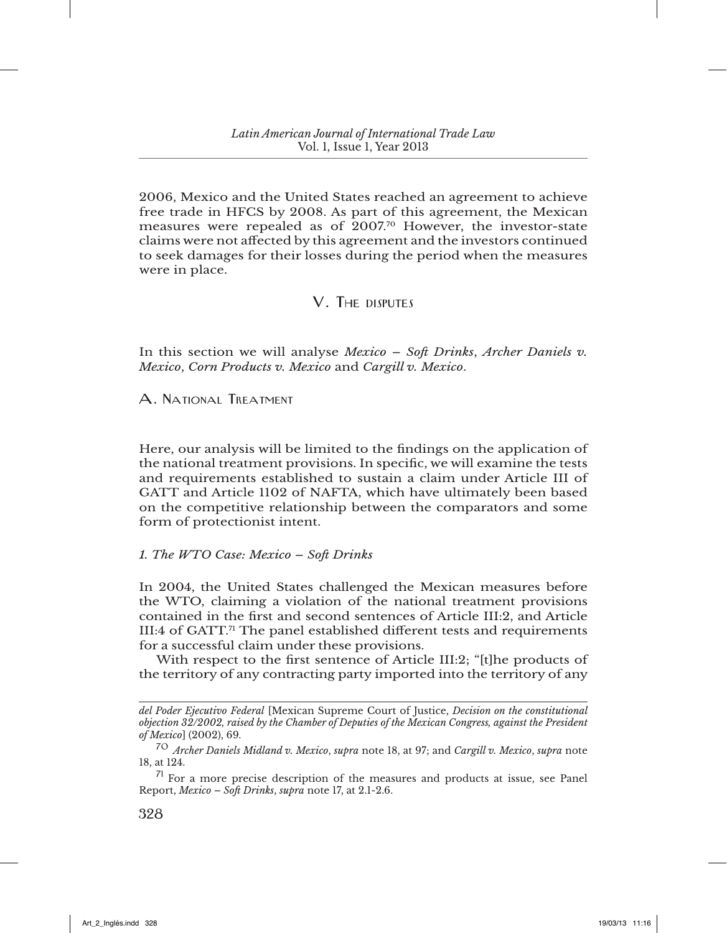2006, Mexico and the United States reached an agreement to achieve free trade in HFCS by 2008. As part of this agreement, the Mexican measures were repealed as of 2007.70 However, the investor-state claims were not affected by this agreement and the investors continued to seek damages for their losses during the period when the measures were in place.

## V. The disputes

In this section we will analyse *Mexico – Soft Drinks*, *Archer Daniels v. Mexico*, *Corn Products v. Mexico* and *Cargill v. Mexico*.

A. National Treatment

Here, our analysis will be limited to the findings on the application of the national treatment provisions. In specific, we will examine the tests and requirements established to sustain a claim under Article III of GATT and Article 1102 of NAFTA, which have ultimately been based on the competitive relationship between the comparators and some form of protectionist intent.

### *1. The WTO Case: Mexico – Soft Drinks*

In 2004, the United States challenged the Mexican measures before the WTO, claiming a violation of the national treatment provisions contained in the first and second sentences of Article III:2, and Article III:4 of GATT.<sup>71</sup> The panel established different tests and requirements for a successful claim under these provisions.

With respect to the first sentence of Article III:2; "[t]he products of the territory of any contracting party imported into the territory of any

*del Poder Ejecutivo Federal* [Mexican Supreme Court of Justice, *Decision on the constitutional objection 32/2002, raised by the Chamber of Deputies of the Mexican Congress, against the President of Mexico*] (2002), 69.

<sup>70</sup> *Archer Daniels Midland v. Mexico*, *supra* note 18, at 97; and *Cargill v. Mexico*, *supra* note 18, at 124.

 $71$  For a more precise description of the measures and products at issue, see Panel Report, *Mexico – Soft Drinks*, *supra* note 17, at 2.1-2.6.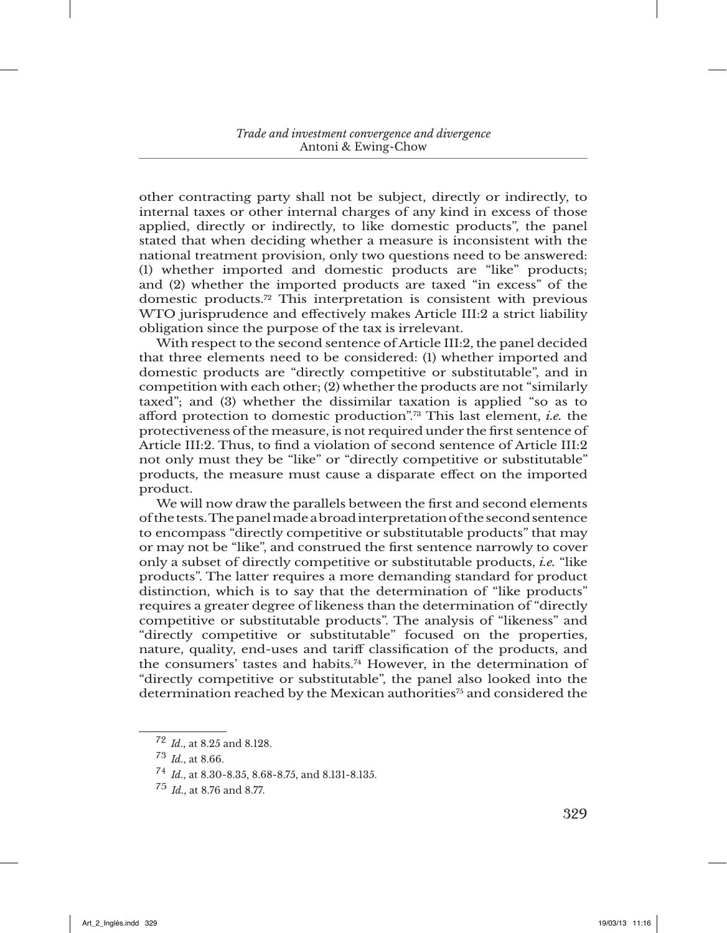other contracting party shall not be subject, directly or indirectly, to internal taxes or other internal charges of any kind in excess of those applied, directly or indirectly, to like domestic products", the panel stated that when deciding whether a measure is inconsistent with the national treatment provision, only two questions need to be answered: (1) whether imported and domestic products are "like" products; and (2) whether the imported products are taxed "in excess" of the domestic products.72 This interpretation is consistent with previous WTO jurisprudence and effectively makes Article III:2 a strict liability obligation since the purpose of the tax is irrelevant.

With respect to the second sentence of Article III:2, the panel decided that three elements need to be considered: (1) whether imported and domestic products are "directly competitive or substitutable", and in competition with each other; (2) whether the products are not "similarly taxed"; and (3) whether the dissimilar taxation is applied "so as to afford protection to domestic production".73 This last element, *i.e.* the protectiveness of the measure, is not required under the first sentence of Article III:2. Thus, to find a violation of second sentence of Article III:2 not only must they be "like" or "directly competitive or substitutable" products, the measure must cause a disparate effect on the imported product.

We will now draw the parallels between the first and second elements of the tests. The panel made a broad interpretation of the second sentence to encompass "directly competitive or substitutable products" that may or may not be "like", and construed the first sentence narrowly to cover only a subset of directly competitive or substitutable products, *i.e.* "like products". The latter requires a more demanding standard for product distinction, which is to say that the determination of "like products" requires a greater degree of likeness than the determination of "directly competitive or substitutable products". The analysis of "likeness" and "directly competitive or substitutable" focused on the properties, nature, quality, end-uses and tariff classification of the products, and the consumers' tastes and habits.74 However, in the determination of "directly competitive or substitutable", the panel also looked into the determination reached by the Mexican authorities<sup>75</sup> and considered the

<sup>72</sup> *Id*., at 8.25 and 8.128.

<sup>73</sup> *Id*., at 8.66.

<sup>74</sup> *Id*., at 8.30-8.35, 8.68-8.75, and 8.131-8.135.

<sup>75</sup> *Id*., at 8.76 and 8.77.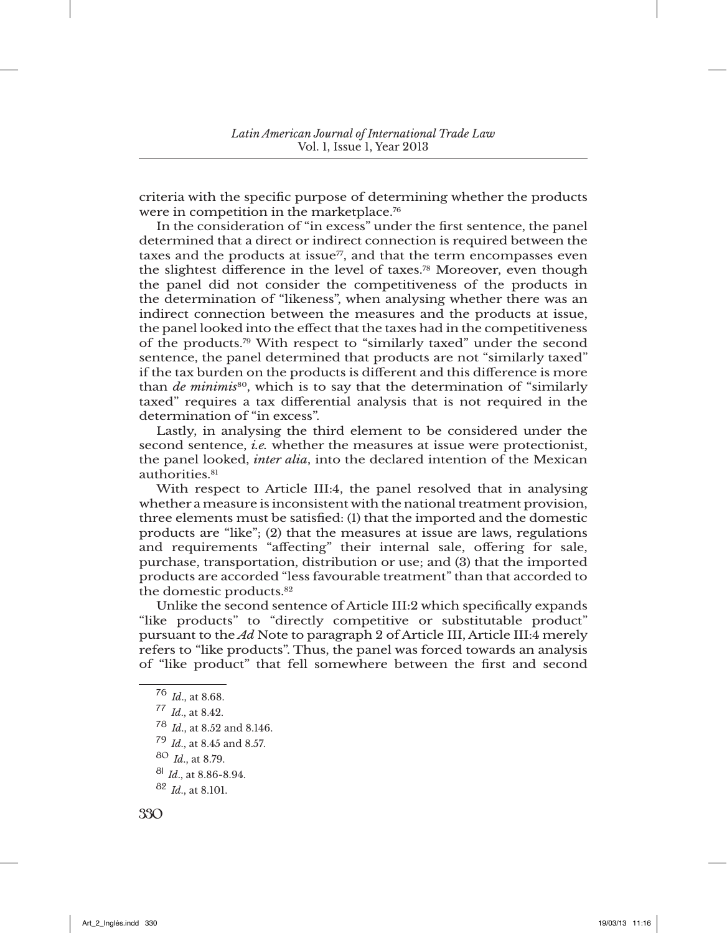criteria with the specific purpose of determining whether the products were in competition in the marketplace.<sup>76</sup>

In the consideration of "in excess" under the first sentence, the panel determined that a direct or indirect connection is required between the taxes and the products at issue $\frac{7}{7}$ , and that the term encompasses even the slightest difference in the level of taxes.78 Moreover, even though the panel did not consider the competitiveness of the products in the determination of "likeness", when analysing whether there was an indirect connection between the measures and the products at issue, the panel looked into the effect that the taxes had in the competitiveness of the products.79 With respect to "similarly taxed" under the second sentence, the panel determined that products are not "similarly taxed" if the tax burden on the products is different and this difference is more than *de minimis*80, which is to say that the determination of "similarly taxed" requires a tax differential analysis that is not required in the determination of "in excess".

Lastly, in analysing the third element to be considered under the second sentence, *i.e.* whether the measures at issue were protectionist, the panel looked, *inter alia*, into the declared intention of the Mexican authorities.<sup>81</sup>

With respect to Article III:4, the panel resolved that in analysing whether a measure is inconsistent with the national treatment provision, three elements must be satisfied: (1) that the imported and the domestic products are "like"; (2) that the measures at issue are laws, regulations and requirements "affecting" their internal sale, offering for sale, purchase, transportation, distribution or use; and (3) that the imported products are accorded "less favourable treatment" than that accorded to the domestic products.<sup>82</sup>

Unlike the second sentence of Article III:2 which specifically expands "like products" to "directly competitive or substitutable product" pursuant to the *Ad* Note to paragraph 2 of Article III, Article III:4 merely refers to "like products". Thus, the panel was forced towards an analysis of "like product" that fell somewhere between the first and second

<sup>76</sup> *Id*., at 8.68.

<sup>77</sup> *Id*., at 8.42.

<sup>78</sup> *Id*., at 8.52 and 8.146.

<sup>79</sup> *Id*., at 8.45 and 8.57.

<sup>80</sup> *Id*., at 8.79.

<sup>81</sup> *Id*., at 8.86-8.94.

<sup>82</sup> *Id*., at 8.101.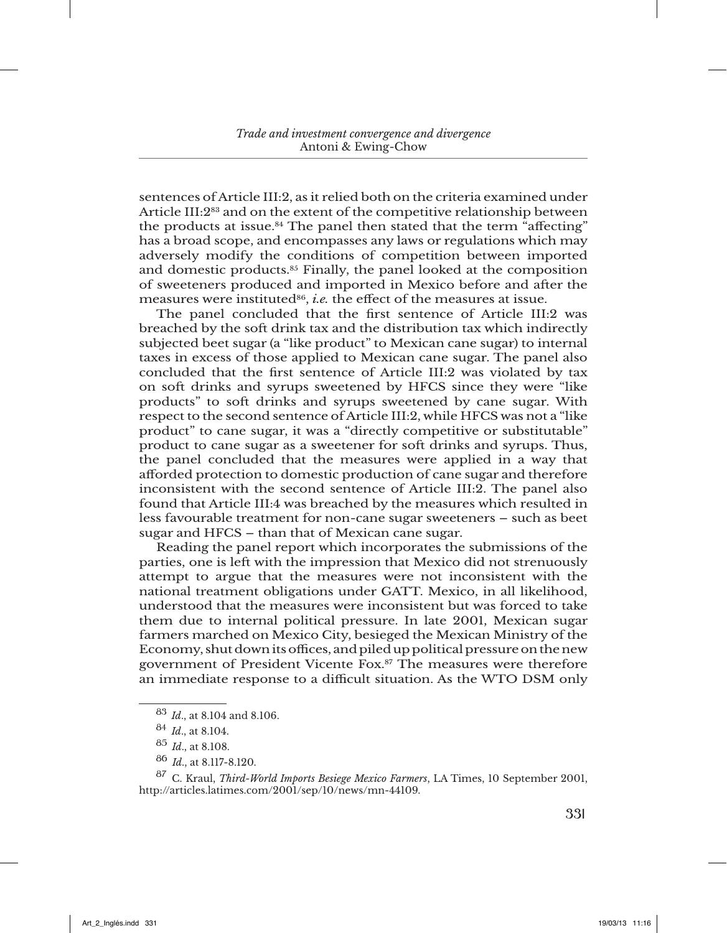sentences of Article III:2, as it relied both on the criteria examined under Article III:2<sup>83</sup> and on the extent of the competitive relationship between the products at issue.<sup>84</sup> The panel then stated that the term "affecting" has a broad scope, and encompasses any laws or regulations which may adversely modify the conditions of competition between imported and domestic products.85 Finally, the panel looked at the composition of sweeteners produced and imported in Mexico before and after the measures were instituted<sup>86</sup>, *i.e.* the effect of the measures at issue.

The panel concluded that the first sentence of Article III:2 was breached by the soft drink tax and the distribution tax which indirectly subjected beet sugar (a "like product" to Mexican cane sugar) to internal taxes in excess of those applied to Mexican cane sugar. The panel also concluded that the first sentence of Article III:2 was violated by tax on soft drinks and syrups sweetened by HFCS since they were "like products" to soft drinks and syrups sweetened by cane sugar. With respect to the second sentence of Article III:2, while HFCS was not a "like product" to cane sugar, it was a "directly competitive or substitutable" product to cane sugar as a sweetener for soft drinks and syrups. Thus, the panel concluded that the measures were applied in a way that afforded protection to domestic production of cane sugar and therefore inconsistent with the second sentence of Article III:2. The panel also found that Article III:4 was breached by the measures which resulted in less favourable treatment for non-cane sugar sweeteners – such as beet sugar and HFCS – than that of Mexican cane sugar.

Reading the panel report which incorporates the submissions of the parties, one is left with the impression that Mexico did not strenuously attempt to argue that the measures were not inconsistent with the national treatment obligations under GATT. Mexico, in all likelihood, understood that the measures were inconsistent but was forced to take them due to internal political pressure. In late 2001, Mexican sugar farmers marched on Mexico City, besieged the Mexican Ministry of the Economy, shut down its offices, and piled up political pressure on the new government of President Vicente Fox.87 The measures were therefore an immediate response to a difficult situation. As the WTO DSM only

<sup>83</sup> *Id*., at 8.104 and 8.106.

<sup>84</sup> *Id*., at 8.104.

<sup>85</sup> *Id*., at 8.108.

<sup>86</sup> *Id*., at 8.117-8.120.

<sup>87</sup> C. Kraul, *Third-World Imports Besiege Mexico Farmers*, LA Times, 10 September 2001, http://articles.latimes.com/2001/sep/10/news/mn-44109.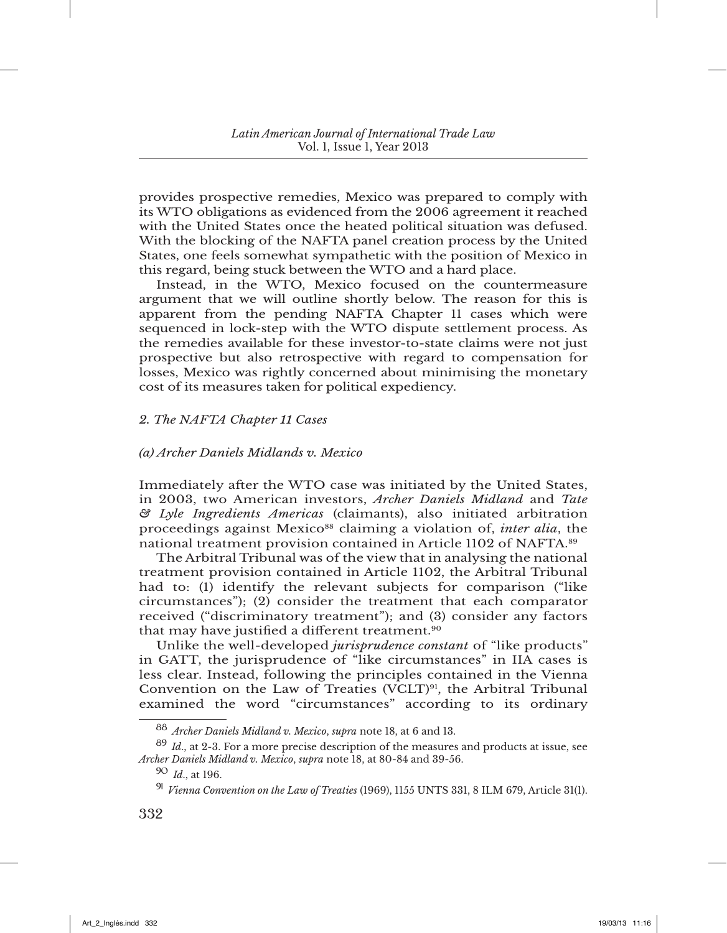provides prospective remedies, Mexico was prepared to comply with its WTO obligations as evidenced from the 2006 agreement it reached with the United States once the heated political situation was defused. With the blocking of the NAFTA panel creation process by the United States, one feels somewhat sympathetic with the position of Mexico in this regard, being stuck between the WTO and a hard place.

Instead, in the WTO, Mexico focused on the countermeasure argument that we will outline shortly below. The reason for this is apparent from the pending NAFTA Chapter 11 cases which were sequenced in lock-step with the WTO dispute settlement process. As the remedies available for these investor-to-state claims were not just prospective but also retrospective with regard to compensation for losses, Mexico was rightly concerned about minimising the monetary cost of its measures taken for political expediency.

### *2. The NAFTA Chapter 11 Cases*

### *(a) Archer Daniels Midlands v. Mexico*

Immediately after the WTO case was initiated by the United States, in 2003, two American investors, *Archer Daniels Midland* and *Tate & Lyle Ingredients Americas* (claimants), also initiated arbitration proceedings against Mexico88 claiming a violation of, *inter alia*, the national treatment provision contained in Article 1102 of NAFTA.89

The Arbitral Tribunal was of the view that in analysing the national treatment provision contained in Article 1102, the Arbitral Tribunal had to: (1) identify the relevant subjects for comparison ("like circumstances"); (2) consider the treatment that each comparator received ("discriminatory treatment"); and (3) consider any factors that may have justified a different treatment.<sup>90</sup>

Unlike the well-developed *jurisprudence constant* of "like products" in GATT, the jurisprudence of "like circumstances" in IIA cases is less clear. Instead, following the principles contained in the Vienna Convention on the Law of Treaties (VCLT)<sup>91</sup>, the Arbitral Tribunal examined the word "circumstances" according to its ordinary

<sup>88</sup> *Archer Daniels Midland v. Mexico*, *supra* note 18, at 6 and 13.

<sup>89</sup> *Id*., at 2-3. For a more precise description of the measures and products at issue, see *Archer Daniels Midland v. Mexico*, *supra* note 18, at 80-84 and 39-56.

<sup>90</sup> *Id*., at 196.

<sup>91</sup> *Vienna Convention on the Law of Treaties* (1969), 1155 UNTS 331, 8 ILM 679, Article 31(1).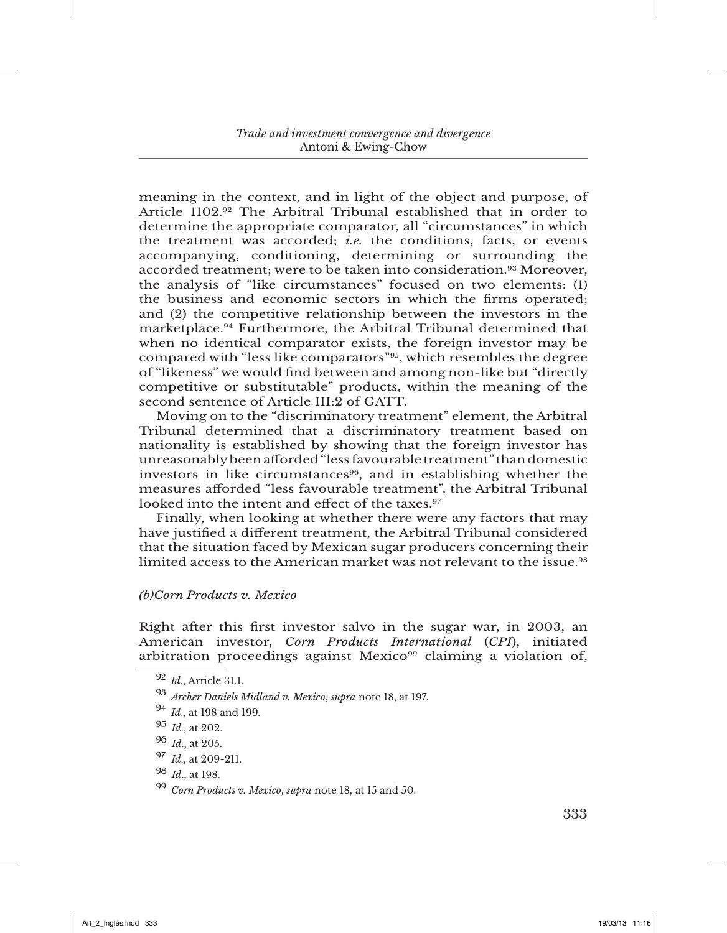meaning in the context, and in light of the object and purpose, of Article 1102.92 The Arbitral Tribunal established that in order to determine the appropriate comparator, all "circumstances" in which the treatment was accorded; *i.e.* the conditions, facts, or events accompanying, conditioning, determining or surrounding the accorded treatment; were to be taken into consideration.93 Moreover, the analysis of "like circumstances" focused on two elements: (1) the business and economic sectors in which the firms operated; and (2) the competitive relationship between the investors in the marketplace.94 Furthermore, the Arbitral Tribunal determined that when no identical comparator exists, the foreign investor may be compared with "less like comparators"95, which resembles the degree of "likeness" we would find between and among non-like but "directly competitive or substitutable" products, within the meaning of the second sentence of Article III:2 of GATT.

Moving on to the "discriminatory treatment" element, the Arbitral Tribunal determined that a discriminatory treatment based on nationality is established by showing that the foreign investor has unreasonably been afforded "less favourable treatment" than domestic investors in like circumstances<sup>96</sup>, and in establishing whether the measures afforded "less favourable treatment", the Arbitral Tribunal looked into the intent and effect of the taxes.<sup>97</sup>

Finally, when looking at whether there were any factors that may have justified a different treatment, the Arbitral Tribunal considered that the situation faced by Mexican sugar producers concerning their limited access to the American market was not relevant to the issue.<sup>98</sup>

## *(b)Corn Products v. Mexico*

Right after this first investor salvo in the sugar war, in 2003, an American investor, *Corn Products International* (*CPI*), initiated arbitration proceedings against Mexico<sup>99</sup> claiming a violation of,

<sup>94</sup> *Id*., at 198 and 199.

<sup>92</sup> *Id*., Article 31.1.

<sup>93</sup> *Archer Daniels Midland v. Mexico*, *supra* note 18, at 197.

<sup>95</sup> *Id*., at 202.

<sup>96</sup> *Id*., at 205.

<sup>97</sup> *Id*., at 209-211.

<sup>98</sup> *Id*., at 198.

<sup>99</sup> *Corn Products v. Mexico*, *supra* note 18, at 15 and 50.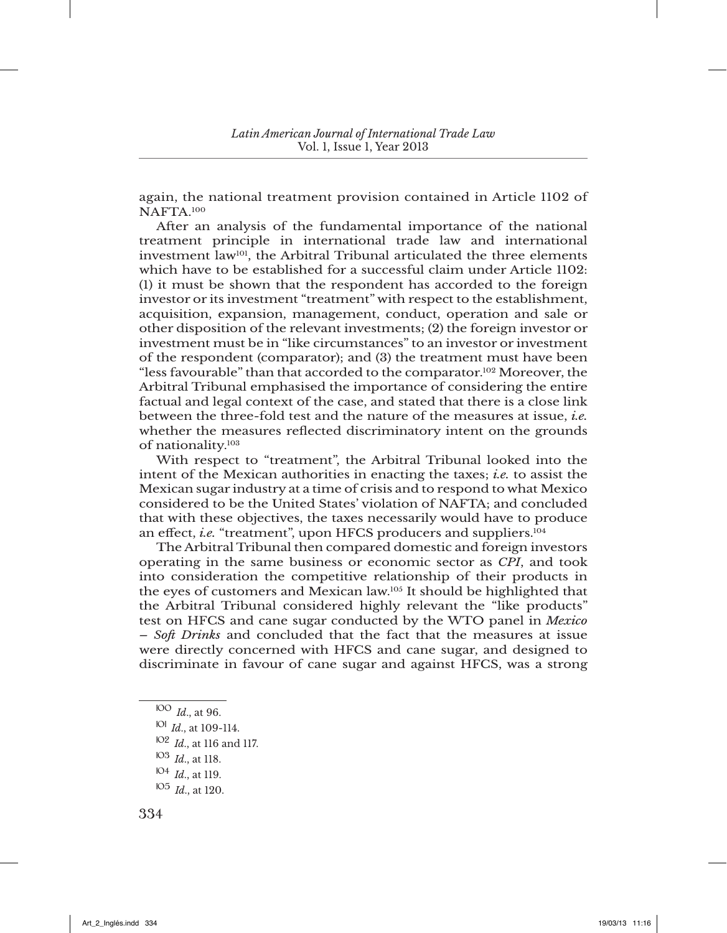again, the national treatment provision contained in Article 1102 of NAFTA.100

After an analysis of the fundamental importance of the national treatment principle in international trade law and international investment law101, the Arbitral Tribunal articulated the three elements which have to be established for a successful claim under Article 1102: (1) it must be shown that the respondent has accorded to the foreign investor or its investment "treatment" with respect to the establishment, acquisition, expansion, management, conduct, operation and sale or other disposition of the relevant investments; (2) the foreign investor or investment must be in "like circumstances" to an investor or investment of the respondent (comparator); and (3) the treatment must have been "less favourable" than that accorded to the comparator.102 Moreover, the Arbitral Tribunal emphasised the importance of considering the entire factual and legal context of the case, and stated that there is a close link between the three-fold test and the nature of the measures at issue, *i.e.* whether the measures reflected discriminatory intent on the grounds of nationality.103

With respect to "treatment", the Arbitral Tribunal looked into the intent of the Mexican authorities in enacting the taxes; *i.e.* to assist the Mexican sugar industry at a time of crisis and to respond to what Mexico considered to be the United States' violation of NAFTA; and concluded that with these objectives, the taxes necessarily would have to produce an effect, *i.e.* "treatment", upon HFCS producers and suppliers.104

The Arbitral Tribunal then compared domestic and foreign investors operating in the same business or economic sector as *CPI*, and took into consideration the competitive relationship of their products in the eyes of customers and Mexican law.105 It should be highlighted that the Arbitral Tribunal considered highly relevant the "like products" test on HFCS and cane sugar conducted by the WTO panel in *Mexico – Soft Drinks* and concluded that the fact that the measures at issue were directly concerned with HFCS and cane sugar, and designed to discriminate in favour of cane sugar and against HFCS, was a strong

<sup>100</sup> *Id*., at 96. <sup>101</sup> *Id*., at 109-114.

- <sup>103</sup> *Id*., at 118.
- <sup>104</sup> *Id*., at 119.
- <sup>105</sup> *Id*., at 120.

<sup>102</sup> *Id*., at 116 and 117.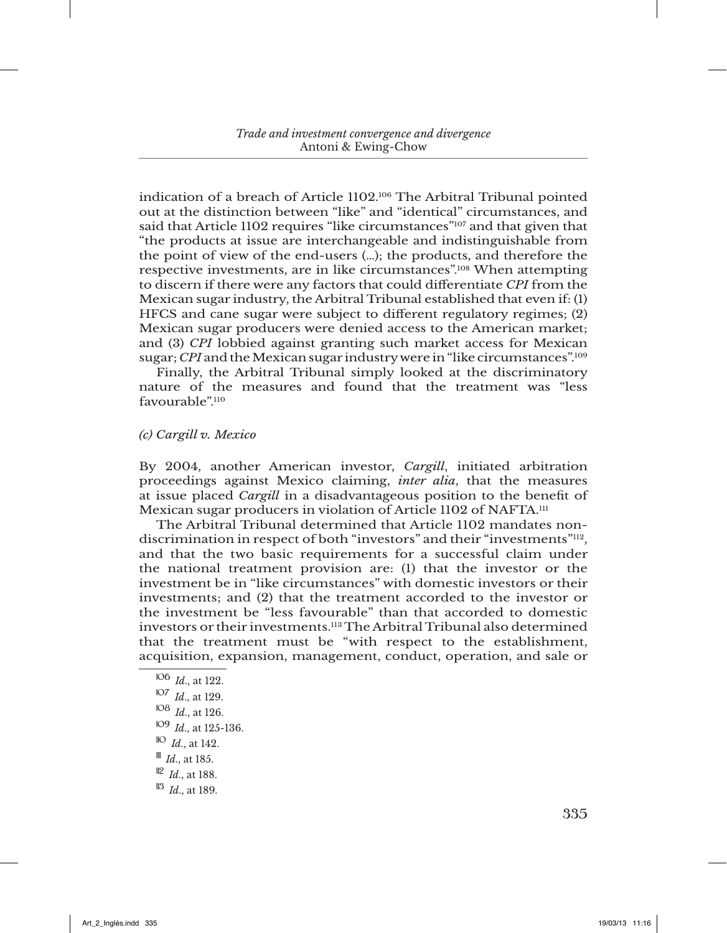indication of a breach of Article 1102.106 The Arbitral Tribunal pointed out at the distinction between "like" and "identical" circumstances, and said that Article 1102 requires "like circumstances"<sup>107</sup> and that given that "the products at issue are interchangeable and indistinguishable from the point of view of the end-users (…); the products, and therefore the respective investments, are in like circumstances".108 When attempting to discern if there were any factors that could differentiate *CPI* from the Mexican sugar industry, the Arbitral Tribunal established that even if: (1) HFCS and cane sugar were subject to different regulatory regimes; (2) Mexican sugar producers were denied access to the American market; and (3) *CPI* lobbied against granting such market access for Mexican sugar; *CPI* and the Mexican sugar industry were in "like circumstances".109

Finally, the Arbitral Tribunal simply looked at the discriminatory nature of the measures and found that the treatment was "less favourable"<sup>110</sup>

### *(c) Cargill v. Mexico*

By 2004, another American investor, *Cargill*, initiated arbitration proceedings against Mexico claiming, *inter alia*, that the measures at issue placed *Cargill* in a disadvantageous position to the benefit of Mexican sugar producers in violation of Article 1102 of NAFTA.<sup>111</sup>

The Arbitral Tribunal determined that Article 1102 mandates nondiscrimination in respect of both "investors" and their "investments"<sup>112</sup>, and that the two basic requirements for a successful claim under the national treatment provision are: (1) that the investor or the investment be in "like circumstances" with domestic investors or their investments; and (2) that the treatment accorded to the investor or the investment be "less favourable" than that accorded to domestic investors or their investments.113 The Arbitral Tribunal also determined that the treatment must be "with respect to the establishment, acquisition, expansion, management, conduct, operation, and sale or

 *Id*., at 122. *Id*., at 129. *Id*., at 126. *Id*., at 125-136. *Id*., at 142. <sup>III</sup> *Id.*, at 185. *Id*., at 188.  $||3 \, Id \text{ at } 189$ .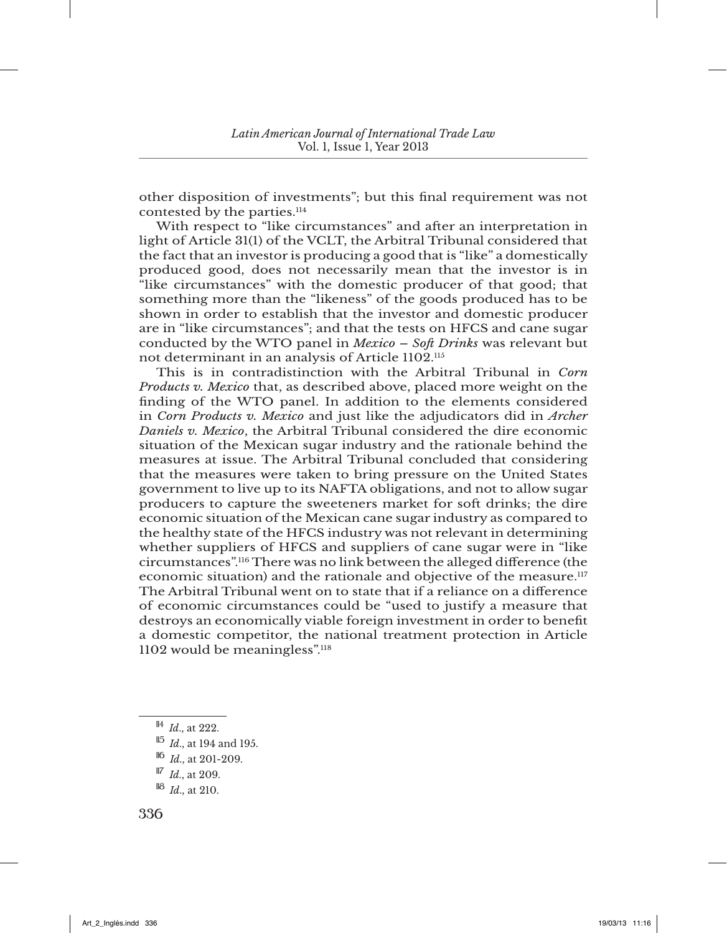other disposition of investments"; but this final requirement was not contested by the parties.<sup>114</sup>

With respect to "like circumstances" and after an interpretation in light of Article 31(1) of the VCLT, the Arbitral Tribunal considered that the fact that an investor is producing a good that is "like" a domestically produced good, does not necessarily mean that the investor is in "like circumstances" with the domestic producer of that good; that something more than the "likeness" of the goods produced has to be shown in order to establish that the investor and domestic producer are in "like circumstances"; and that the tests on HFCS and cane sugar conducted by the WTO panel in *Mexico – Soft Drinks* was relevant but not determinant in an analysis of Article 1102.115

This is in contradistinction with the Arbitral Tribunal in *Corn Products v. Mexico* that, as described above, placed more weight on the finding of the WTO panel. In addition to the elements considered in *Corn Products v. Mexico* and just like the adjudicators did in *Archer Daniels v. Mexico*, the Arbitral Tribunal considered the dire economic situation of the Mexican sugar industry and the rationale behind the measures at issue. The Arbitral Tribunal concluded that considering that the measures were taken to bring pressure on the United States government to live up to its NAFTA obligations, and not to allow sugar producers to capture the sweeteners market for soft drinks; the dire economic situation of the Mexican cane sugar industry as compared to the healthy state of the HFCS industry was not relevant in determining whether suppliers of HFCS and suppliers of cane sugar were in "like circumstances".116 There was no link between the alleged difference (the economic situation) and the rationale and objective of the measure.117 The Arbitral Tribunal went on to state that if a reliance on a difference of economic circumstances could be "used to justify a measure that destroys an economically viable foreign investment in order to benefit a domestic competitor, the national treatment protection in Article 1102 would be meaningless".118

<sup>114</sup> *Id*., at 222.

<sup>115</sup> *Id*., at 194 and 195.

<sup>116</sup> *Id*., at 201-209.

<sup>117</sup> *Id*., at 209.

<sup>118</sup> *Id*., at 210.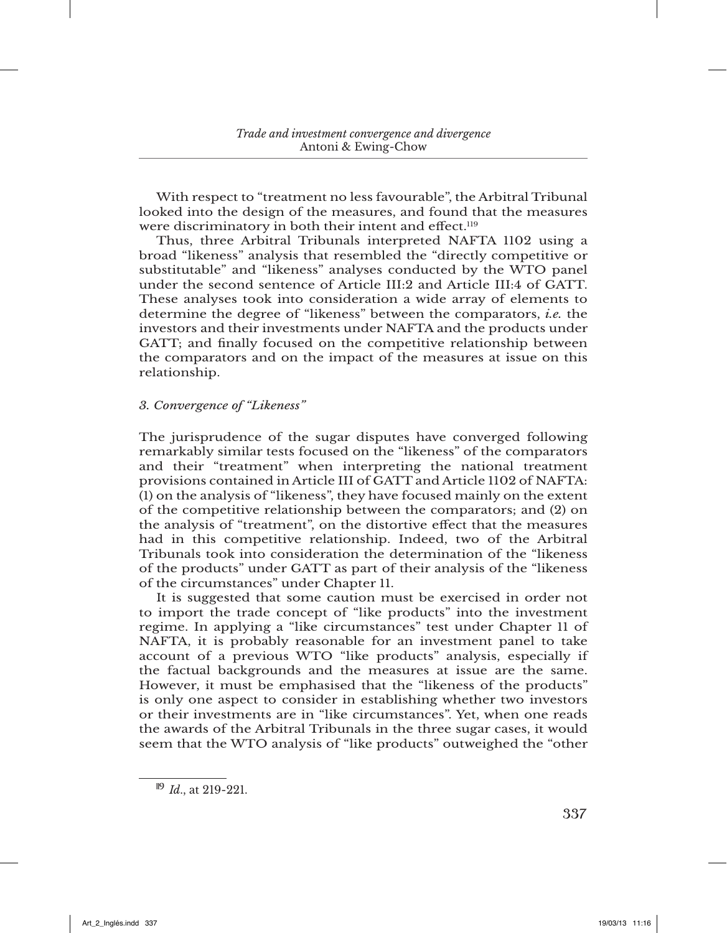With respect to "treatment no less favourable", the Arbitral Tribunal looked into the design of the measures, and found that the measures were discriminatory in both their intent and effect.<sup>119</sup>

Thus, three Arbitral Tribunals interpreted NAFTA 1102 using a broad "likeness" analysis that resembled the "directly competitive or substitutable" and "likeness" analyses conducted by the WTO panel under the second sentence of Article III:2 and Article III:4 of GATT. These analyses took into consideration a wide array of elements to determine the degree of "likeness" between the comparators, *i.e.* the investors and their investments under NAFTA and the products under GATT; and finally focused on the competitive relationship between the comparators and on the impact of the measures at issue on this relationship.

## *3. Convergence of "Likeness"*

The jurisprudence of the sugar disputes have converged following remarkably similar tests focused on the "likeness" of the comparators and their "treatment" when interpreting the national treatment provisions contained in Article III of GATT and Article 1102 of NAFTA: (1) on the analysis of "likeness", they have focused mainly on the extent of the competitive relationship between the comparators; and (2) on the analysis of "treatment", on the distortive effect that the measures had in this competitive relationship. Indeed, two of the Arbitral Tribunals took into consideration the determination of the "likeness of the products" under GATT as part of their analysis of the "likeness of the circumstances" under Chapter 11.

It is suggested that some caution must be exercised in order not to import the trade concept of "like products" into the investment regime. In applying a "like circumstances" test under Chapter 11 of NAFTA, it is probably reasonable for an investment panel to take account of a previous WTO "like products" analysis, especially if the factual backgrounds and the measures at issue are the same. However, it must be emphasised that the "likeness of the products" is only one aspect to consider in establishing whether two investors or their investments are in "like circumstances". Yet, when one reads the awards of the Arbitral Tribunals in the three sugar cases, it would seem that the WTO analysis of "like products" outweighed the "other

<sup>119</sup> *Id*., at 219-221.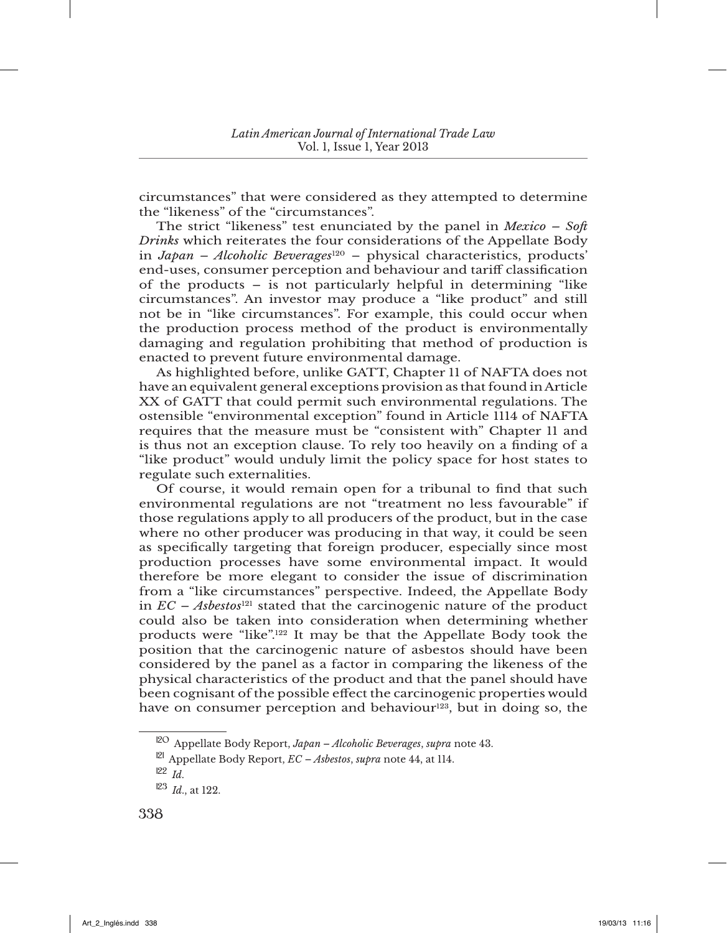circumstances" that were considered as they attempted to determine the "likeness" of the "circumstances".

The strict "likeness" test enunciated by the panel in *Mexico – Soft Drinks* which reiterates the four considerations of the Appellate Body in *Japan – Alcoholic Beverages*120 – physical characteristics, products' end-uses, consumer perception and behaviour and tariff classification of the products – is not particularly helpful in determining "like circumstances". An investor may produce a "like product" and still not be in "like circumstances". For example, this could occur when the production process method of the product is environmentally damaging and regulation prohibiting that method of production is enacted to prevent future environmental damage.

As highlighted before, unlike GATT, Chapter 11 of NAFTA does not have an equivalent general exceptions provision as that found in Article XX of GATT that could permit such environmental regulations. The ostensible "environmental exception" found in Article 1114 of NAFTA requires that the measure must be "consistent with" Chapter 11 and is thus not an exception clause. To rely too heavily on a finding of a "like product" would unduly limit the policy space for host states to regulate such externalities.

Of course, it would remain open for a tribunal to find that such environmental regulations are not "treatment no less favourable" if those regulations apply to all producers of the product, but in the case where no other producer was producing in that way, it could be seen as specifically targeting that foreign producer, especially since most production processes have some environmental impact. It would therefore be more elegant to consider the issue of discrimination from a "like circumstances" perspective. Indeed, the Appellate Body in  $EC - Abslets<sup>121</sup>$  stated that the carcinogenic nature of the product could also be taken into consideration when determining whether products were "like".122 It may be that the Appellate Body took the position that the carcinogenic nature of asbestos should have been considered by the panel as a factor in comparing the likeness of the physical characteristics of the product and that the panel should have been cognisant of the possible effect the carcinogenic properties would have on consumer perception and behaviour<sup>123</sup>, but in doing so, the

<sup>120</sup> Appellate Body Report, *Japan – Alcoholic Beverages*, *supra* note 43.

<sup>121</sup> Appellate Body Report, *EC – Asbestos*, *supra* note 44, at 114.

<sup>122</sup> *Id*.

 $123$  *Id.*, at 122.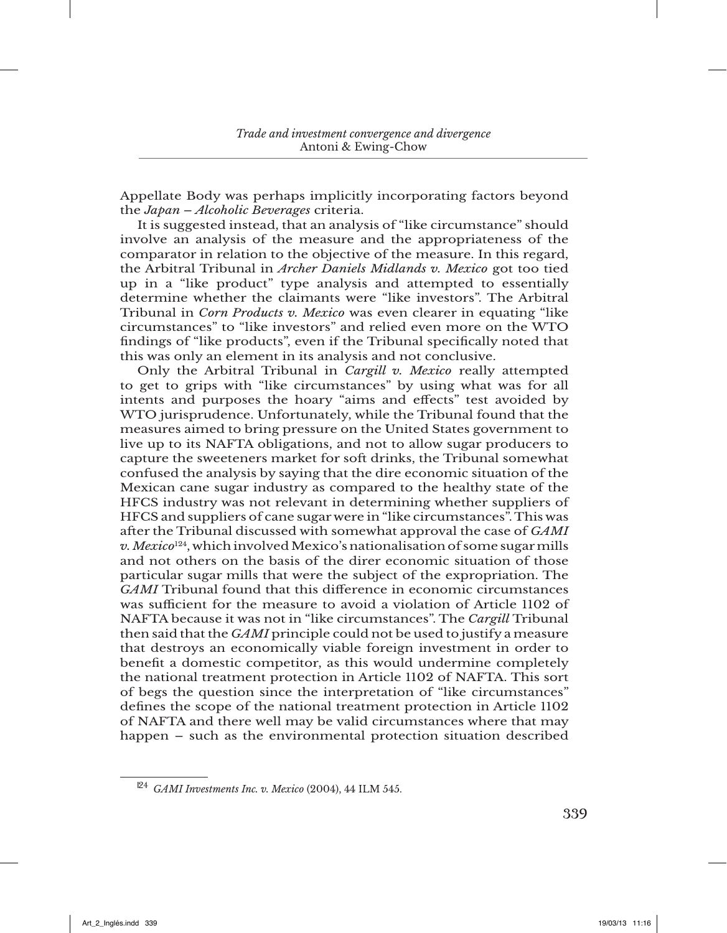Appellate Body was perhaps implicitly incorporating factors beyond the *Japan – Alcoholic Beverages* criteria.

It is suggested instead, that an analysis of "like circumstance" should involve an analysis of the measure and the appropriateness of the comparator in relation to the objective of the measure. In this regard, the Arbitral Tribunal in *Archer Daniels Midlands v. Mexico* got too tied up in a "like product" type analysis and attempted to essentially determine whether the claimants were "like investors". The Arbitral Tribunal in *Corn Products v. Mexico* was even clearer in equating "like circumstances" to "like investors" and relied even more on the WTO findings of "like products", even if the Tribunal specifically noted that this was only an element in its analysis and not conclusive.

Only the Arbitral Tribunal in *Cargill v. Mexico* really attempted to get to grips with "like circumstances" by using what was for all intents and purposes the hoary "aims and effects" test avoided by WTO jurisprudence. Unfortunately, while the Tribunal found that the measures aimed to bring pressure on the United States government to live up to its NAFTA obligations, and not to allow sugar producers to capture the sweeteners market for soft drinks, the Tribunal somewhat confused the analysis by saying that the dire economic situation of the Mexican cane sugar industry as compared to the healthy state of the HFCS industry was not relevant in determining whether suppliers of HFCS and suppliers of cane sugar were in "like circumstances". This was after the Tribunal discussed with somewhat approval the case of *GAMI v. Mexico*124, which involved Mexico's nationalisation of some sugar mills and not others on the basis of the direr economic situation of those particular sugar mills that were the subject of the expropriation. The *GAMI* Tribunal found that this difference in economic circumstances was sufficient for the measure to avoid a violation of Article 1102 of NAFTA because it was not in "like circumstances". The *Cargill* Tribunal then said that the *GAMI* principle could not be used to justify a measure that destroys an economically viable foreign investment in order to benefit a domestic competitor, as this would undermine completely the national treatment protection in Article 1102 of NAFTA. This sort of begs the question since the interpretation of "like circumstances" defines the scope of the national treatment protection in Article 1102 of NAFTA and there well may be valid circumstances where that may happen – such as the environmental protection situation described

<sup>124</sup> *GAMI Investments Inc. v. Mexico* (2004), 44 ILM 545.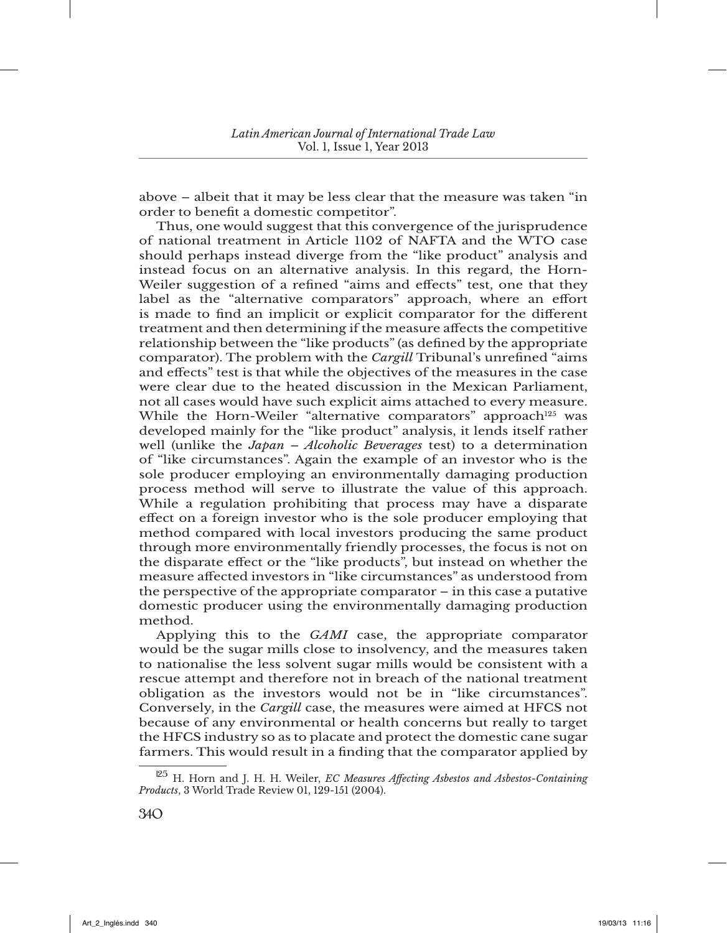above – albeit that it may be less clear that the measure was taken "in order to benefit a domestic competitor".

Thus, one would suggest that this convergence of the jurisprudence of national treatment in Article 1102 of NAFTA and the WTO case should perhaps instead diverge from the "like product" analysis and instead focus on an alternative analysis. In this regard, the Horn-Weiler suggestion of a refined "aims and effects" test, one that they label as the "alternative comparators" approach, where an effort is made to find an implicit or explicit comparator for the different treatment and then determining if the measure affects the competitive relationship between the "like products" (as defined by the appropriate comparator). The problem with the *Cargill* Tribunal's unrefined "aims and effects" test is that while the objectives of the measures in the case were clear due to the heated discussion in the Mexican Parliament, not all cases would have such explicit aims attached to every measure. While the Horn-Weiler "alternative comparators" approach<sup>125</sup> was developed mainly for the "like product" analysis, it lends itself rather well (unlike the *Japan – Alcoholic Beverages* test) to a determination of "like circumstances". Again the example of an investor who is the sole producer employing an environmentally damaging production process method will serve to illustrate the value of this approach. While a regulation prohibiting that process may have a disparate effect on a foreign investor who is the sole producer employing that method compared with local investors producing the same product through more environmentally friendly processes, the focus is not on the disparate effect or the "like products", but instead on whether the measure affected investors in "like circumstances" as understood from the perspective of the appropriate comparator – in this case a putative domestic producer using the environmentally damaging production method.

Applying this to the *GAMI* case, the appropriate comparator would be the sugar mills close to insolvency, and the measures taken to nationalise the less solvent sugar mills would be consistent with a rescue attempt and therefore not in breach of the national treatment obligation as the investors would not be in "like circumstances". Conversely, in the *Cargill* case, the measures were aimed at HFCS not because of any environmental or health concerns but really to target the HFCS industry so as to placate and protect the domestic cane sugar farmers. This would result in a finding that the comparator applied by

<sup>125</sup> H. Horn and J. H. H. Weiler, *EC Measures Affecting Asbestos and Asbestos-Containing Products*, 3 World Trade Review 01, 129-151 (2004).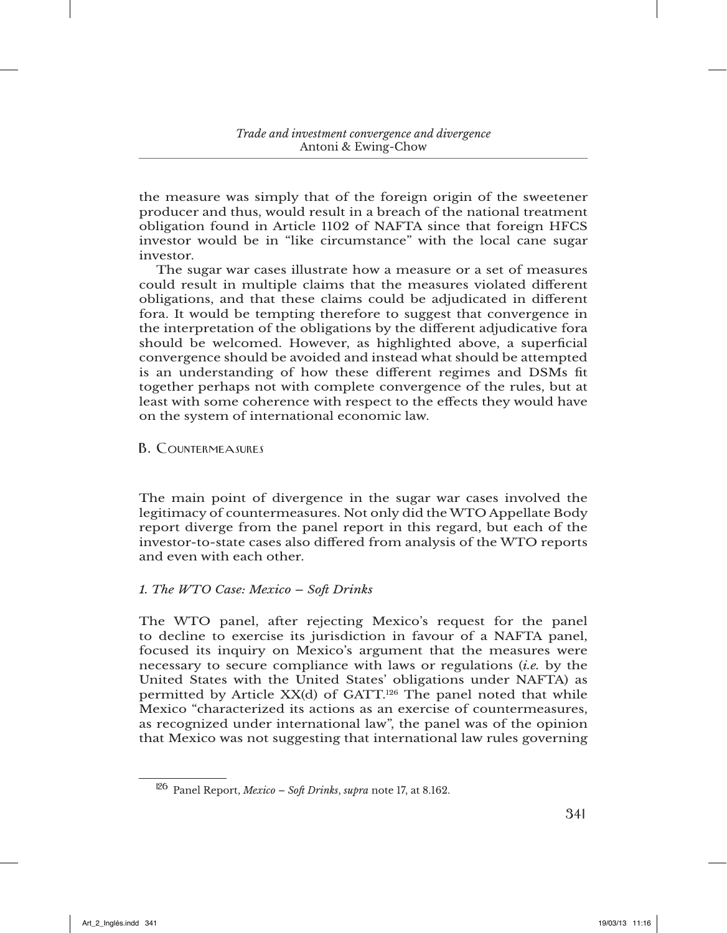the measure was simply that of the foreign origin of the sweetener producer and thus, would result in a breach of the national treatment obligation found in Article 1102 of NAFTA since that foreign HFCS investor would be in "like circumstance" with the local cane sugar investor.

The sugar war cases illustrate how a measure or a set of measures could result in multiple claims that the measures violated different obligations, and that these claims could be adjudicated in different fora. It would be tempting therefore to suggest that convergence in the interpretation of the obligations by the different adjudicative fora should be welcomed. However, as highlighted above, a superficial convergence should be avoided and instead what should be attempted is an understanding of how these different regimes and DSMs fit together perhaps not with complete convergence of the rules, but at least with some coherence with respect to the effects they would have on the system of international economic law.

B. Countermeasures

The main point of divergence in the sugar war cases involved the legitimacy of countermeasures. Not only did the WTO Appellate Body report diverge from the panel report in this regard, but each of the investor-to-state cases also differed from analysis of the WTO reports and even with each other.

### *1. The WTO Case: Mexico – Soft Drinks*

The WTO panel, after rejecting Mexico's request for the panel to decline to exercise its jurisdiction in favour of a NAFTA panel, focused its inquiry on Mexico's argument that the measures were necessary to secure compliance with laws or regulations (*i.e.* by the United States with the United States' obligations under NAFTA) as permitted by Article  $XX(d)$  of GATT.<sup>126</sup> The panel noted that while Mexico "characterized its actions as an exercise of countermeasures, as recognized under international law", the panel was of the opinion that Mexico was not suggesting that international law rules governing

<sup>126</sup> Panel Report, *Mexico – Soft Drinks*, *supra* note 17, at 8.162.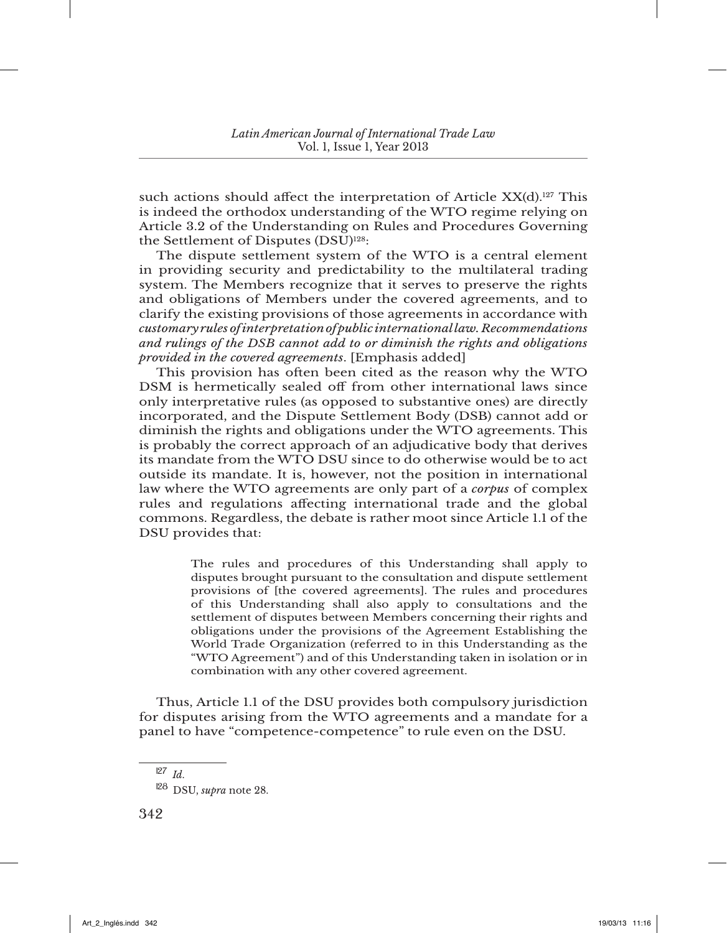such actions should affect the interpretation of Article  $XX(d).^{127}$  This is indeed the orthodox understanding of the WTO regime relying on Article 3.2 of the Understanding on Rules and Procedures Governing the Settlement of Disputes (DSU)<sup>128</sup>:

The dispute settlement system of the WTO is a central element in providing security and predictability to the multilateral trading system. The Members recognize that it serves to preserve the rights and obligations of Members under the covered agreements, and to clarify the existing provisions of those agreements in accordance with *customary rules of interpretation of public international law. Recommendations and rulings of the DSB cannot add to or diminish the rights and obligations provided in the covered agreements*. [Emphasis added]

This provision has often been cited as the reason why the WTO DSM is hermetically sealed off from other international laws since only interpretative rules (as opposed to substantive ones) are directly incorporated, and the Dispute Settlement Body (DSB) cannot add or diminish the rights and obligations under the WTO agreements. This is probably the correct approach of an adjudicative body that derives its mandate from the WTO DSU since to do otherwise would be to act outside its mandate. It is, however, not the position in international law where the WTO agreements are only part of a *corpus* of complex rules and regulations affecting international trade and the global commons. Regardless, the debate is rather moot since Article 1.1 of the DSU provides that:

> The rules and procedures of this Understanding shall apply to disputes brought pursuant to the consultation and dispute settlement provisions of [the covered agreements]. The rules and procedures of this Understanding shall also apply to consultations and the settlement of disputes between Members concerning their rights and obligations under the provisions of the Agreement Establishing the World Trade Organization (referred to in this Understanding as the "WTO Agreement") and of this Understanding taken in isolation or in combination with any other covered agreement.

Thus, Article 1.1 of the DSU provides both compulsory jurisdiction for disputes arising from the WTO agreements and a mandate for a panel to have "competence-competence" to rule even on the DSU.

<sup>127</sup> *Id*.

<sup>128</sup> DSU, *supra* note 28.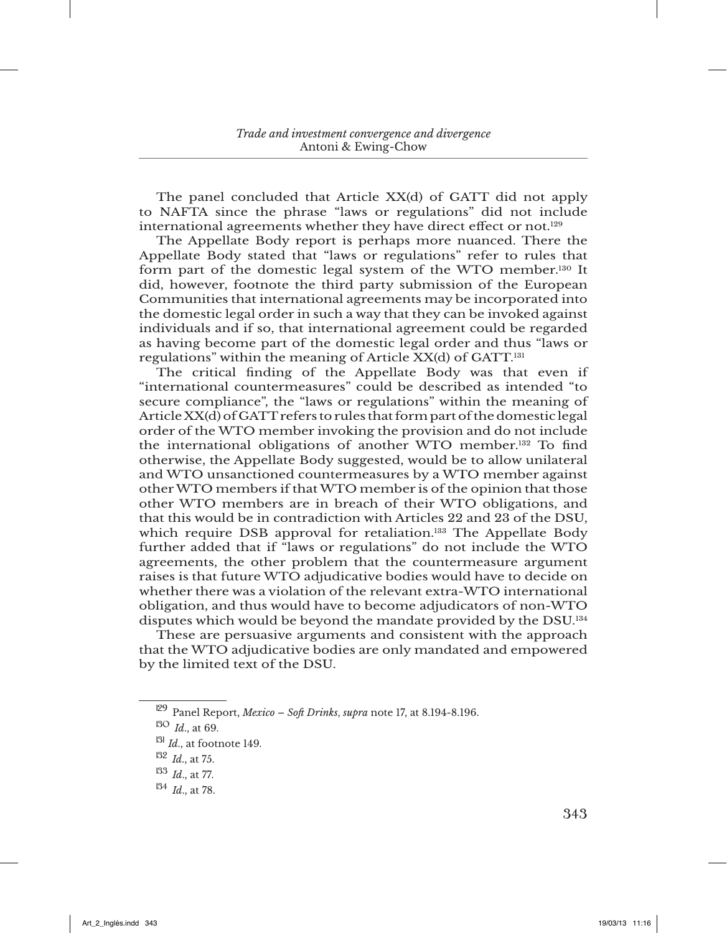The panel concluded that Article XX(d) of GATT did not apply to NAFTA since the phrase "laws or regulations" did not include international agreements whether they have direct effect or not.129

The Appellate Body report is perhaps more nuanced. There the Appellate Body stated that "laws or regulations" refer to rules that form part of the domestic legal system of the WTO member.130 It did, however, footnote the third party submission of the European Communities that international agreements may be incorporated into the domestic legal order in such a way that they can be invoked against individuals and if so, that international agreement could be regarded as having become part of the domestic legal order and thus "laws or regulations" within the meaning of Article XX(d) of GATT.131

The critical finding of the Appellate Body was that even if "international countermeasures" could be described as intended "to secure compliance", the "laws or regulations" within the meaning of Article XX(d) of GATT refers to rules that form part of the domestic legal order of the WTO member invoking the provision and do not include the international obligations of another WTO member.132 To find otherwise, the Appellate Body suggested, would be to allow unilateral and WTO unsanctioned countermeasures by a WTO member against other WTO members if that WTO member is of the opinion that those other WTO members are in breach of their WTO obligations, and that this would be in contradiction with Articles 22 and 23 of the DSU, which require DSB approval for retaliation.<sup>133</sup> The Appellate Body further added that if "laws or regulations" do not include the WTO agreements, the other problem that the countermeasure argument raises is that future WTO adjudicative bodies would have to decide on whether there was a violation of the relevant extra-WTO international obligation, and thus would have to become adjudicators of non-WTO disputes which would be beyond the mandate provided by the DSU.134

These are persuasive arguments and consistent with the approach that the WTO adjudicative bodies are only mandated and empowered by the limited text of the DSU.

<sup>129</sup> Panel Report, *Mexico – Soft Drinks*, *supra* note 17, at 8.194-8.196.

<sup>130</sup> *Id*., at 69.

<sup>131</sup> *Id*., at footnote 149.

<sup>132</sup> *Id*., at 75.

<sup>133</sup> *Id*., at 77.

<sup>134</sup> *Id*., at 78.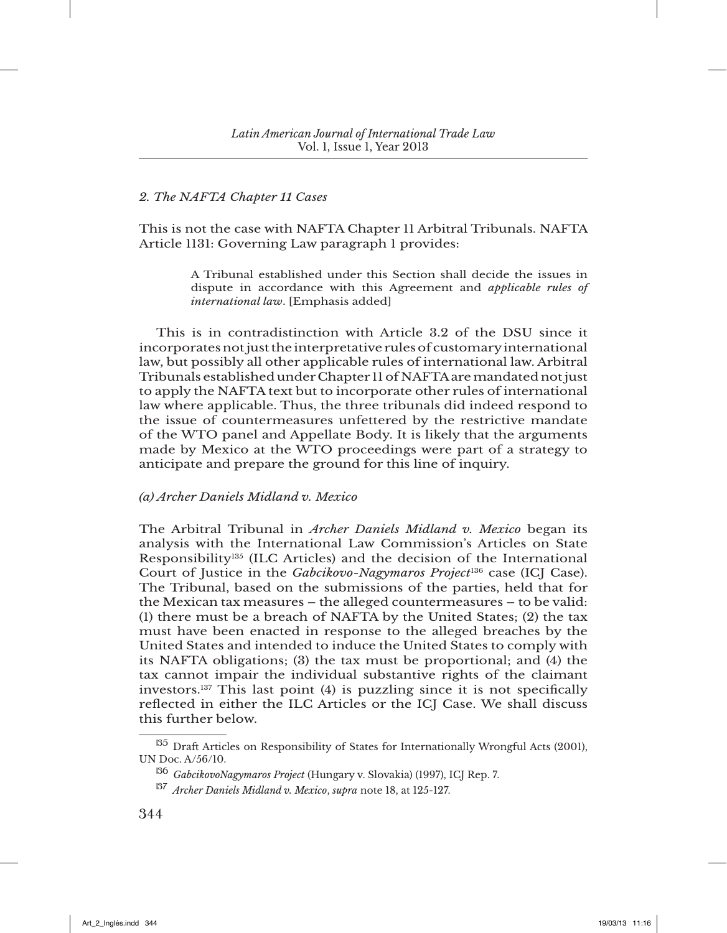### *2. The NAFTA Chapter 11 Cases*

This is not the case with NAFTA Chapter 11 Arbitral Tribunals. NAFTA Article 1131: Governing Law paragraph 1 provides:

> A Tribunal established under this Section shall decide the issues in dispute in accordance with this Agreement and *applicable rules of international law*. [Emphasis added]

This is in contradistinction with Article 3.2 of the DSU since it incorporates not just the interpretative rules of customary international law, but possibly all other applicable rules of international law. Arbitral Tribunals established under Chapter 11 of NAFTA are mandated not just to apply the NAFTA text but to incorporate other rules of international law where applicable. Thus, the three tribunals did indeed respond to the issue of countermeasures unfettered by the restrictive mandate of the WTO panel and Appellate Body. It is likely that the arguments made by Mexico at the WTO proceedings were part of a strategy to anticipate and prepare the ground for this line of inquiry.

### *(a) Archer Daniels Midland v. Mexico*

The Arbitral Tribunal in *Archer Daniels Midland v. Mexico* began its analysis with the International Law Commission's Articles on State Responsibility135 (ILC Articles) and the decision of the International Court of Justice in the *Gabcikovo-Nagymaros Project*136 case (ICJ Case). The Tribunal, based on the submissions of the parties, held that for the Mexican tax measures – the alleged countermeasures – to be valid: (1) there must be a breach of NAFTA by the United States; (2) the tax must have been enacted in response to the alleged breaches by the United States and intended to induce the United States to comply with its NAFTA obligations; (3) the tax must be proportional; and (4) the tax cannot impair the individual substantive rights of the claimant investors.137 This last point (4) is puzzling since it is not specifically reflected in either the ILC Articles or the ICJ Case. We shall discuss this further below.

<sup>&</sup>lt;sup>135</sup> Draft Articles on Responsibility of States for Internationally Wrongful Acts (2001), UN Doc. A/56/10.

<sup>136</sup> *GabcikovoNagymaros Project* (Hungary v. Slovakia) (1997), ICJ Rep. 7.

<sup>137</sup> *Archer Daniels Midland v. Mexico*, *supra* note 18, at 125-127.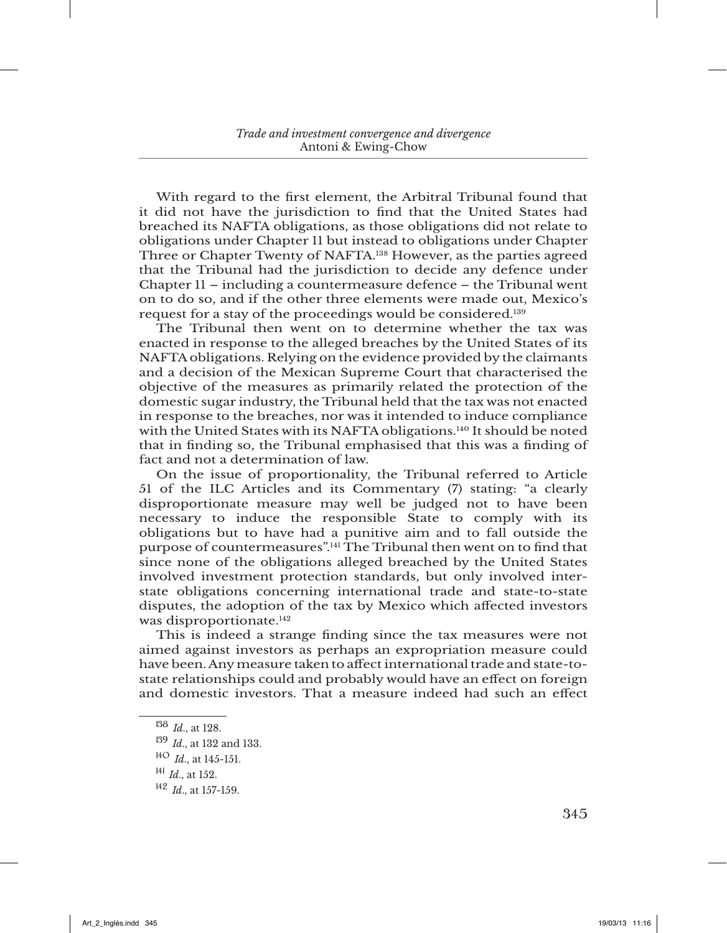With regard to the first element, the Arbitral Tribunal found that it did not have the jurisdiction to find that the United States had breached its NAFTA obligations, as those obligations did not relate to obligations under Chapter 11 but instead to obligations under Chapter Three or Chapter Twenty of NAFTA.138 However, as the parties agreed that the Tribunal had the jurisdiction to decide any defence under Chapter 11 – including a countermeasure defence – the Tribunal went on to do so, and if the other three elements were made out, Mexico's request for a stay of the proceedings would be considered.139

The Tribunal then went on to determine whether the tax was enacted in response to the alleged breaches by the United States of its NAFTA obligations. Relying on the evidence provided by the claimants and a decision of the Mexican Supreme Court that characterised the objective of the measures as primarily related the protection of the domestic sugar industry, the Tribunal held that the tax was not enacted in response to the breaches, nor was it intended to induce compliance with the United States with its NAFTA obligations.140 It should be noted that in finding so, the Tribunal emphasised that this was a finding of fact and not a determination of law.

On the issue of proportionality, the Tribunal referred to Article 51 of the ILC Articles and its Commentary (7) stating: "a clearly disproportionate measure may well be judged not to have been necessary to induce the responsible State to comply with its obligations but to have had a punitive aim and to fall outside the purpose of countermeasures".141 The Tribunal then went on to find that since none of the obligations alleged breached by the United States involved investment protection standards, but only involved interstate obligations concerning international trade and state-to-state disputes, the adoption of the tax by Mexico which affected investors was disproportionate.<sup>142</sup>

This is indeed a strange finding since the tax measures were not aimed against investors as perhaps an expropriation measure could have been. Any measure taken to affect international trade and state-tostate relationships could and probably would have an effect on foreign and domestic investors. That a measure indeed had such an effect

<sup>138</sup> *Id*., at 128.

<sup>139</sup> *Id*., at 132 and 133.

<sup>140</sup> *Id*., at 145-151.

<sup>141</sup> *Id*., at 152.

<sup>142</sup> *Id*., at 157-159.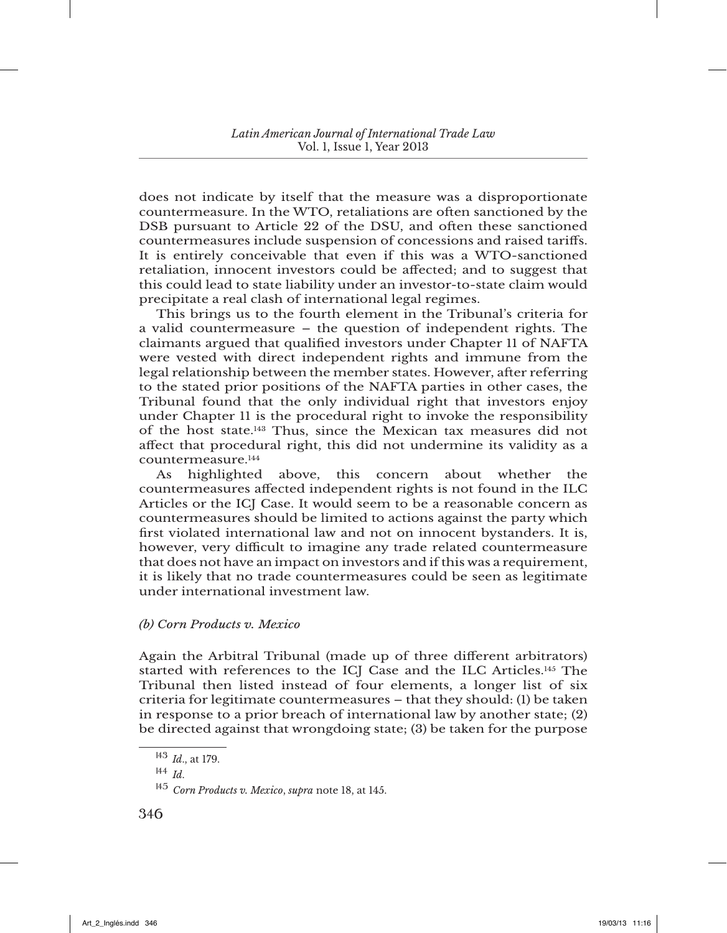does not indicate by itself that the measure was a disproportionate countermeasure. In the WTO, retaliations are often sanctioned by the DSB pursuant to Article 22 of the DSU, and often these sanctioned countermeasures include suspension of concessions and raised tariffs. It is entirely conceivable that even if this was a WTO-sanctioned retaliation, innocent investors could be affected; and to suggest that this could lead to state liability under an investor-to-state claim would precipitate a real clash of international legal regimes.

This brings us to the fourth element in the Tribunal's criteria for a valid countermeasure – the question of independent rights. The claimants argued that qualified investors under Chapter 11 of NAFTA were vested with direct independent rights and immune from the legal relationship between the member states. However, after referring to the stated prior positions of the NAFTA parties in other cases, the Tribunal found that the only individual right that investors enjoy under Chapter 11 is the procedural right to invoke the responsibility of the host state.143 Thus, since the Mexican tax measures did not affect that procedural right, this did not undermine its validity as a countermeasure.144

As highlighted above, this concern about whether the countermeasures affected independent rights is not found in the ILC Articles or the ICJ Case. It would seem to be a reasonable concern as countermeasures should be limited to actions against the party which first violated international law and not on innocent bystanders. It is, however, very difficult to imagine any trade related countermeasure that does not have an impact on investors and if this was a requirement, it is likely that no trade countermeasures could be seen as legitimate under international investment law.

## *(b) Corn Products v. Mexico*

Again the Arbitral Tribunal (made up of three different arbitrators) started with references to the ICJ Case and the ILC Articles.145 The Tribunal then listed instead of four elements, a longer list of six criteria for legitimate countermeasures – that they should: (1) be taken in response to a prior breach of international law by another state; (2) be directed against that wrongdoing state; (3) be taken for the purpose

<sup>143</sup> *Id*., at 179.

<sup>144</sup> *Id*.

<sup>145</sup> *Corn Products v. Mexico*, *supra* note 18, at 145.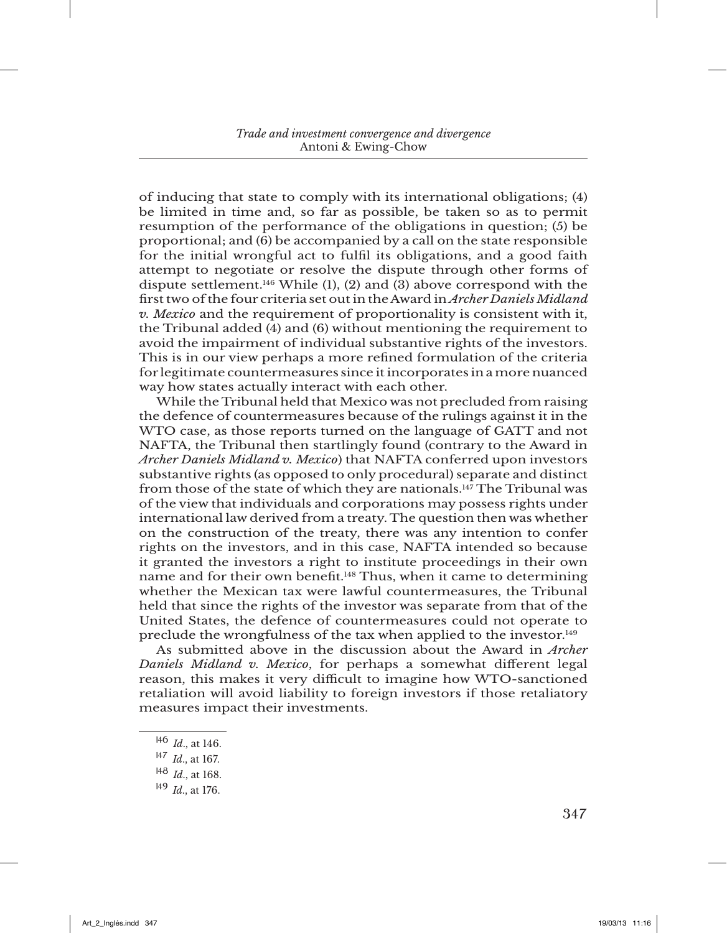of inducing that state to comply with its international obligations; (4) be limited in time and, so far as possible, be taken so as to permit resumption of the performance of the obligations in question; (5) be proportional; and (6) be accompanied by a call on the state responsible for the initial wrongful act to fulfil its obligations, and a good faith attempt to negotiate or resolve the dispute through other forms of dispute settlement.<sup>146</sup> While (1), (2) and (3) above correspond with the first two of the four criteria set out in the Award in *Archer Daniels Midland v. Mexico* and the requirement of proportionality is consistent with it, the Tribunal added (4) and (6) without mentioning the requirement to avoid the impairment of individual substantive rights of the investors. This is in our view perhaps a more refined formulation of the criteria for legitimate countermeasures since it incorporates in a more nuanced way how states actually interact with each other.

While the Tribunal held that Mexico was not precluded from raising the defence of countermeasures because of the rulings against it in the WTO case, as those reports turned on the language of GATT and not NAFTA, the Tribunal then startlingly found (contrary to the Award in *Archer Daniels Midland v. Mexico*) that NAFTA conferred upon investors substantive rights (as opposed to only procedural) separate and distinct from those of the state of which they are nationals.147 The Tribunal was of the view that individuals and corporations may possess rights under international law derived from a treaty. The question then was whether on the construction of the treaty, there was any intention to confer rights on the investors, and in this case, NAFTA intended so because it granted the investors a right to institute proceedings in their own name and for their own benefit.<sup>148</sup> Thus, when it came to determining whether the Mexican tax were lawful countermeasures, the Tribunal held that since the rights of the investor was separate from that of the United States, the defence of countermeasures could not operate to preclude the wrongfulness of the tax when applied to the investor.149

As submitted above in the discussion about the Award in *Archer Daniels Midland v. Mexico*, for perhaps a somewhat different legal reason, this makes it very difficult to imagine how WTO-sanctioned retaliation will avoid liability to foreign investors if those retaliatory measures impact their investments.

<sup>146</sup> *Id*., at 146.

<sup>147</sup> *Id*., at 167.

<sup>148</sup> *Id*., at 168.

<sup>149</sup> *Id*., at 176.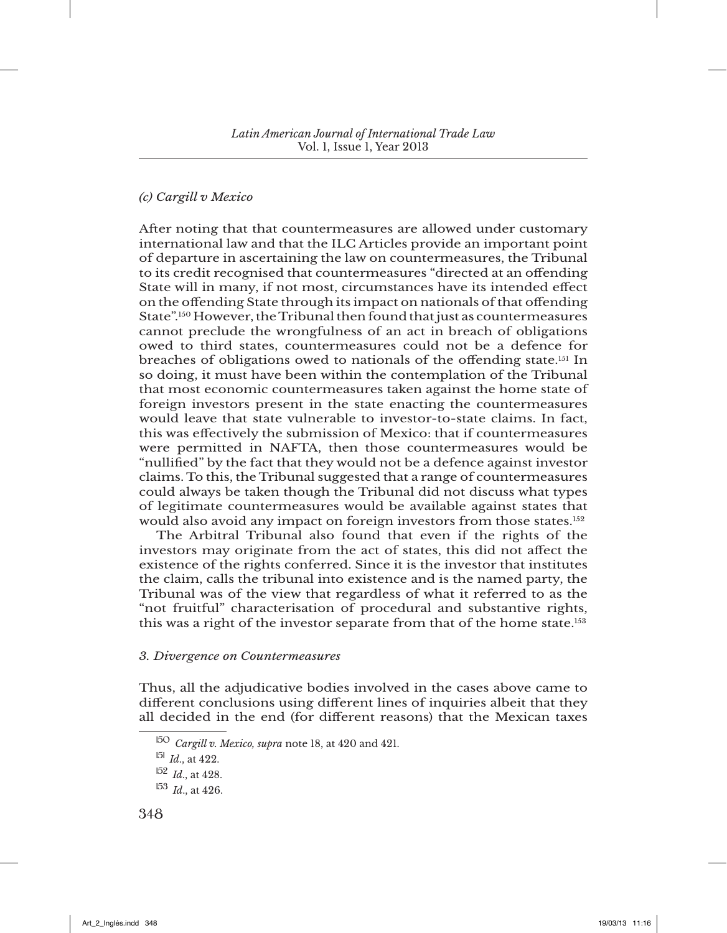## *(c) Cargill v Mexico*

After noting that that countermeasures are allowed under customary international law and that the ILC Articles provide an important point of departure in ascertaining the law on countermeasures, the Tribunal to its credit recognised that countermeasures "directed at an offending State will in many, if not most, circumstances have its intended effect on the offending State through its impact on nationals of that offending State".150 However, the Tribunal then found that just as countermeasures cannot preclude the wrongfulness of an act in breach of obligations owed to third states, countermeasures could not be a defence for breaches of obligations owed to nationals of the offending state.151 In so doing, it must have been within the contemplation of the Tribunal that most economic countermeasures taken against the home state of foreign investors present in the state enacting the countermeasures would leave that state vulnerable to investor-to-state claims. In fact, this was effectively the submission of Mexico: that if countermeasures were permitted in NAFTA, then those countermeasures would be "nullified" by the fact that they would not be a defence against investor claims. To this, the Tribunal suggested that a range of countermeasures could always be taken though the Tribunal did not discuss what types of legitimate countermeasures would be available against states that would also avoid any impact on foreign investors from those states.152

The Arbitral Tribunal also found that even if the rights of the investors may originate from the act of states, this did not affect the existence of the rights conferred. Since it is the investor that institutes the claim, calls the tribunal into existence and is the named party, the Tribunal was of the view that regardless of what it referred to as the "not fruitful" characterisation of procedural and substantive rights, this was a right of the investor separate from that of the home state.<sup>153</sup>

### *3. Divergence on Countermeasures*

Thus, all the adjudicative bodies involved in the cases above came to different conclusions using different lines of inquiries albeit that they all decided in the end (for different reasons) that the Mexican taxes

<sup>150</sup> *Cargill v. Mexico, supra* note 18, at 420 and 421.

<sup>151</sup> *Id*., at 422.

<sup>152</sup> *Id*., at 428.

 $153$  *Id.*, at 426.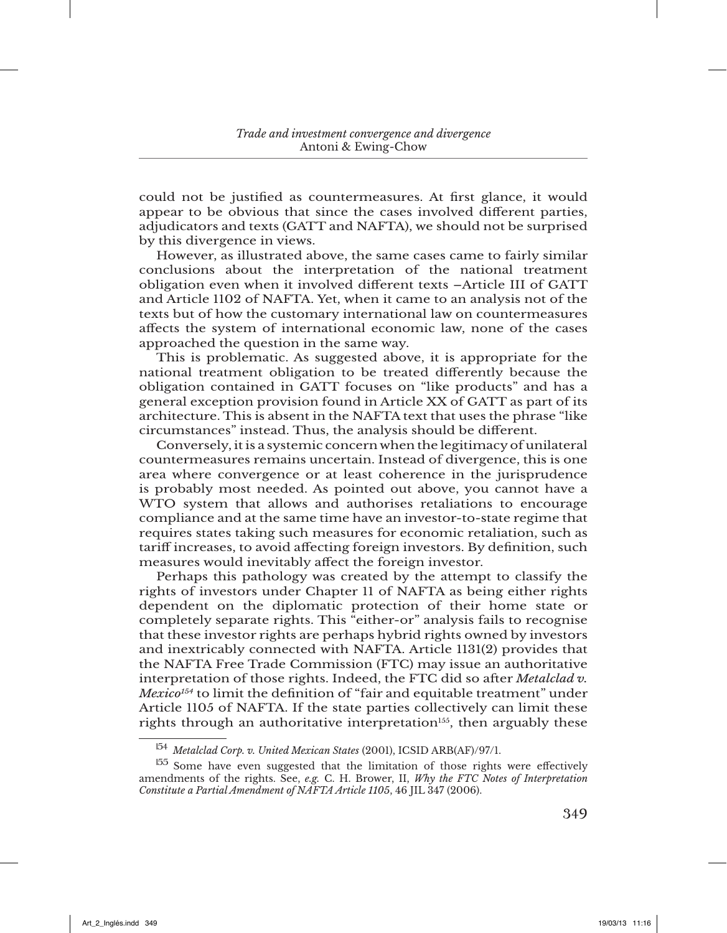could not be justified as countermeasures. At first glance, it would appear to be obvious that since the cases involved different parties, adjudicators and texts (GATT and NAFTA), we should not be surprised by this divergence in views.

However, as illustrated above, the same cases came to fairly similar conclusions about the interpretation of the national treatment obligation even when it involved different texts –Article III of GATT and Article 1102 of NAFTA. Yet, when it came to an analysis not of the texts but of how the customary international law on countermeasures affects the system of international economic law, none of the cases approached the question in the same way.

This is problematic. As suggested above, it is appropriate for the national treatment obligation to be treated differently because the obligation contained in GATT focuses on "like products" and has a general exception provision found in Article XX of GATT as part of its architecture. This is absent in the NAFTA text that uses the phrase "like circumstances" instead. Thus, the analysis should be different.

Conversely, it is a systemic concern when the legitimacy of unilateral countermeasures remains uncertain. Instead of divergence, this is one area where convergence or at least coherence in the jurisprudence is probably most needed. As pointed out above, you cannot have a WTO system that allows and authorises retaliations to encourage compliance and at the same time have an investor-to-state regime that requires states taking such measures for economic retaliation, such as tariff increases, to avoid affecting foreign investors. By definition, such measures would inevitably affect the foreign investor.

Perhaps this pathology was created by the attempt to classify the rights of investors under Chapter 11 of NAFTA as being either rights dependent on the diplomatic protection of their home state or completely separate rights. This "either-or" analysis fails to recognise that these investor rights are perhaps hybrid rights owned by investors and inextricably connected with NAFTA. Article 1131(2) provides that the NAFTA Free Trade Commission (FTC) may issue an authoritative interpretation of those rights. Indeed, the FTC did so after *Metalclad v. Mexico154* to limit the definition of "fair and equitable treatment" under Article 1105 of NAFTA. If the state parties collectively can limit these rights through an authoritative interpretation<sup>155</sup>, then arguably these

<sup>154</sup> *Metalclad Corp. v. United Mexican States* (2001), ICSID ARB(AF)/97/1.

<sup>&</sup>lt;sup>155</sup> Some have even suggested that the limitation of those rights were effectively amendments of the rights. See, *e.g.* C. H. Brower, II, *Why the FTC Notes of Interpretation Constitute a Partial Amendment of NAFTA Article 1105*, 46 JIL 347 (2006).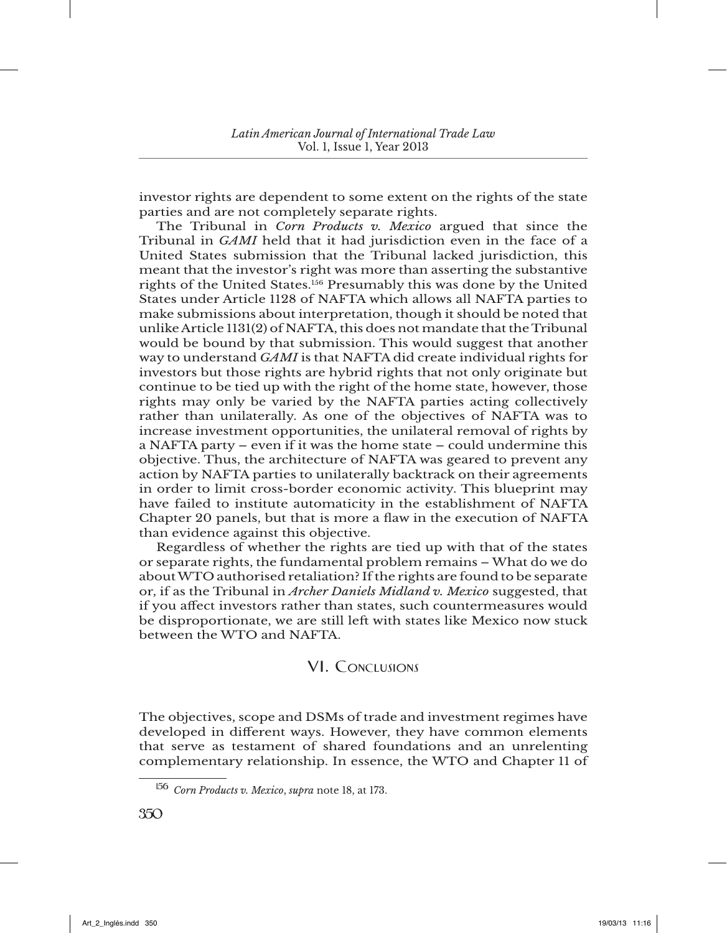investor rights are dependent to some extent on the rights of the state parties and are not completely separate rights.

The Tribunal in *Corn Products v. Mexico* argued that since the Tribunal in *GAMI* held that it had jurisdiction even in the face of a United States submission that the Tribunal lacked jurisdiction, this meant that the investor's right was more than asserting the substantive rights of the United States.156 Presumably this was done by the United States under Article 1128 of NAFTA which allows all NAFTA parties to make submissions about interpretation, though it should be noted that unlike Article 1131(2) of NAFTA, this does not mandate that the Tribunal would be bound by that submission. This would suggest that another way to understand *GAMI* is that NAFTA did create individual rights for investors but those rights are hybrid rights that not only originate but continue to be tied up with the right of the home state, however, those rights may only be varied by the NAFTA parties acting collectively rather than unilaterally. As one of the objectives of NAFTA was to increase investment opportunities, the unilateral removal of rights by a NAFTA party – even if it was the home state – could undermine this objective. Thus, the architecture of NAFTA was geared to prevent any action by NAFTA parties to unilaterally backtrack on their agreements in order to limit cross-border economic activity. This blueprint may have failed to institute automaticity in the establishment of NAFTA Chapter 20 panels, but that is more a flaw in the execution of NAFTA than evidence against this objective.

Regardless of whether the rights are tied up with that of the states or separate rights, the fundamental problem remains – What do we do about WTO authorised retaliation? If the rights are found to be separate or, if as the Tribunal in *Archer Daniels Midland v. Mexico* suggested, that if you affect investors rather than states, such countermeasures would be disproportionate, we are still left with states like Mexico now stuck between the WTO and NAFTA.

## VI. Conclusions

The objectives, scope and DSMs of trade and investment regimes have developed in different ways. However, they have common elements that serve as testament of shared foundations and an unrelenting complementary relationship. In essence, the WTO and Chapter 11 of

<sup>156</sup> *Corn Products v. Mexico*, *supra* note 18, at 173.